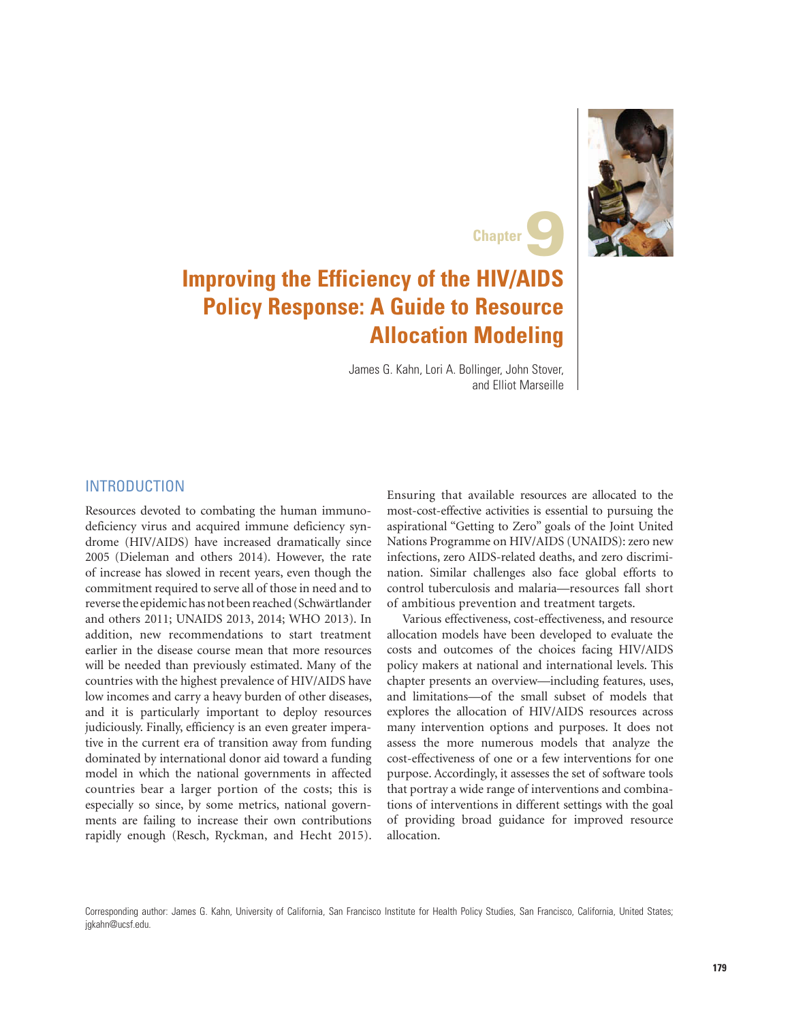



# **Improving the Efficiency of the HIV/AIDS Policy Response: A Guide to Resource Allocation Modeling**

James G. Kahn, Lori A. Bollinger, John Stover, and Elliot Marseille

## **INTRODUCTION**

Resources devoted to combating the human immunodeficiency virus and acquired immune deficiency syndrome (HIV/AIDS) have increased dramatically since 2005 (Dieleman and others 2014). However, the rate of increase has slowed in recent years, even though the commitment required to serve all of those in need and to reverse the epidemic has not been reached (Schwärtlander and others 2011; UNAIDS 2013, 2014; WHO 2013). In addition, new recommendations to start treatment earlier in the disease course mean that more resources will be needed than previously estimated. Many of the countries with the highest prevalence of HIV/AIDS have low incomes and carry a heavy burden of other diseases, and it is particularly important to deploy resources judiciously. Finally, efficiency is an even greater imperative in the current era of transition away from funding dominated by international donor aid toward a funding model in which the national governments in affected countries bear a larger portion of the costs; this is especially so since, by some metrics, national governments are failing to increase their own contributions rapidly enough (Resch, Ryckman, and Hecht 2015). Ensuring that available resources are allocated to the most-cost-effective activities is essential to pursuing the aspirational "Getting to Zero" goals of the Joint United Nations Programme on HIV/AIDS (UNAIDS): zero new infections, zero AIDS-related deaths, and zero discrimination. Similar challenges also face global efforts to control tuberculosis and malaria—resources fall short of ambitious prevention and treatment targets.

Various effectiveness, cost-effectiveness, and resource allocation models have been developed to evaluate the costs and outcomes of the choices facing HIV/AIDS policy makers at national and international levels. This chapter presents an overview—including features, uses, and limitations—of the small subset of models that explores the allocation of HIV/AIDS resources across many intervention options and purposes. It does not assess the more numerous models that analyze the cost-effectiveness of one or a few interventions for one purpose. Accordingly, it assesses the set of software tools that portray a wide range of interventions and combinations of interventions in different settings with the goal of providing broad guidance for improved resource allocation.

Corresponding author: James G. Kahn, University of California, San Francisco Institute for Health Policy Studies, San Francisco, California, United States; jgkahn@ucsf.edu.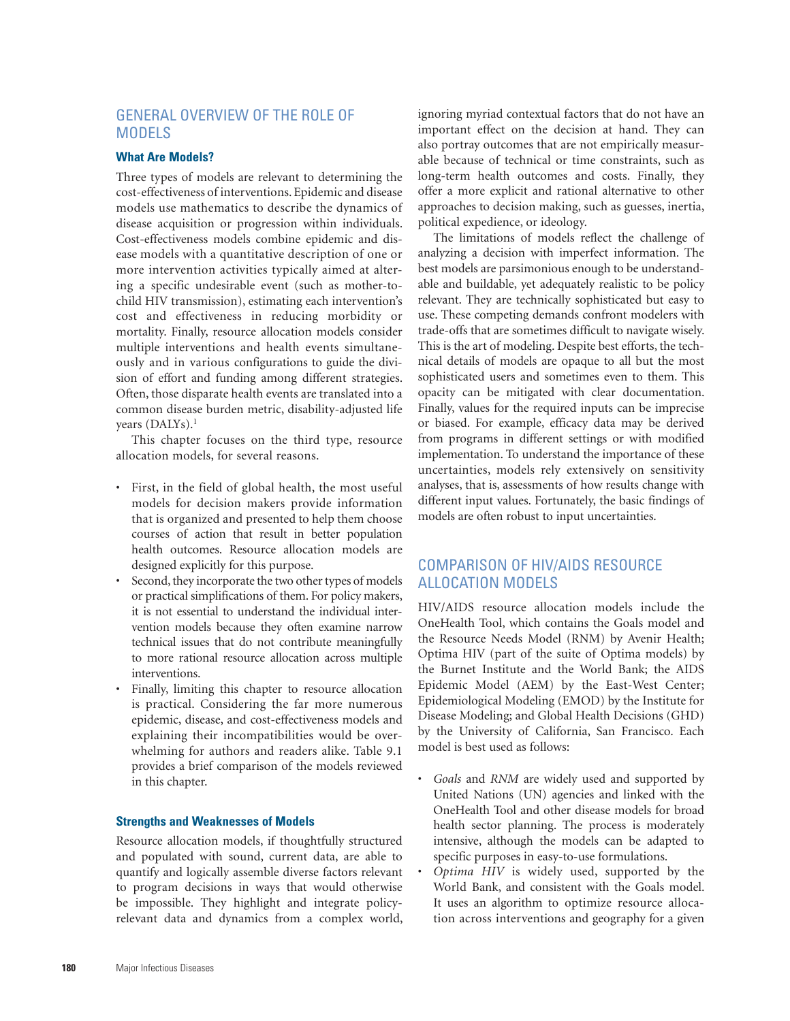## GENERAL OVERVIEW OF THE ROLE OF MODELS

#### **What Are Models?**

Three types of models are relevant to determining the cost-effectiveness of interventions. Epidemic and disease models use mathematics to describe the dynamics of disease acquisition or progression within individuals. Cost-effectiveness models combine epidemic and disease models with a quantitative description of one or more intervention activities typically aimed at altering a specific undesirable event (such as mother-tochild HIV transmission), estimating each intervention's cost and effectiveness in reducing morbidity or mortality. Finally, resource allocation models consider multiple interventions and health events simultaneously and in various configurations to guide the division of effort and funding among different strategies. Often, those disparate health events are translated into a common disease burden metric, disability- adjusted life years (DALYs).1

This chapter focuses on the third type, resource allocation models, for several reasons.

- First, in the field of global health, the most useful models for decision makers provide information that is organized and presented to help them choose courses of action that result in better population health outcomes. Resource allocation models are designed explicitly for this purpose.
- Second, they incorporate the two other types of models or practical simplifications of them. For policy makers, it is not essential to understand the individual intervention models because they often examine narrow technical issues that do not contribute meaningfully to more rational resource allocation across multiple interventions.
- Finally, limiting this chapter to resource allocation is practical. Considering the far more numerous epidemic, disease, and cost-effectiveness models and explaining their incompatibilities would be overwhelming for authors and readers alike. Table 9.1 provides a brief comparison of the models reviewed in this chapter.

#### **Strengths and Weaknesses of Models**

Resource allocation models, if thoughtfully structured and populated with sound, current data, are able to quantify and logically assemble diverse factors relevant to program decisions in ways that would otherwise be impossible. They highlight and integrate policyrelevant data and dynamics from a complex world, ignoring myriad contextual factors that do not have an important effect on the decision at hand. They can also portray outcomes that are not empirically measurable because of technical or time constraints, such as long-term health outcomes and costs. Finally, they offer a more explicit and rational alternative to other approaches to decision making, such as guesses, inertia, political expedience, or ideology.

The limitations of models reflect the challenge of analyzing a decision with imperfect information. The best models are parsimonious enough to be understandable and buildable, yet adequately realistic to be policy relevant. They are technically sophisticated but easy to use. These competing demands confront modelers with trade-offs that are sometimes difficult to navigate wisely. This is the art of modeling. Despite best efforts, the technical details of models are opaque to all but the most sophisticated users and sometimes even to them. This opacity can be mitigated with clear documentation. Finally, values for the required inputs can be imprecise or biased. For example, efficacy data may be derived from programs in different settings or with modified implementation. To understand the importance of these uncertainties, models rely extensively on sensitivity analyses, that is, assessments of how results change with different input values. Fortunately, the basic findings of models are often robust to input uncertainties.

## COMPARISON OF HIV/AIDS RESOURCE ALLOCATION MODELS

HIV/AIDS resource allocation models include the OneHealth Tool, which contains the Goals model and the Resource Needs Model (RNM) by Avenir Health; Optima HIV (part of the suite of Optima models) by the Burnet Institute and the World Bank; the AIDS Epidemic Model (AEM) by the East-West Center; Epidemiological Modeling (EMOD) by the Institute for Disease Modeling; and Global Health Decisions (GHD) by the University of California, San Francisco. Each model is best used as follows:

- *Goals* and *RNM* are widely used and supported by United Nations (UN) agencies and linked with the OneHealth Tool and other disease models for broad health sector planning. The process is moderately intensive, although the models can be adapted to specific purposes in easy-to-use formulations.
- *Optima HIV* is widely used, supported by the World Bank, and consistent with the Goals model. It uses an algorithm to optimize resource allocation across interventions and geography for a given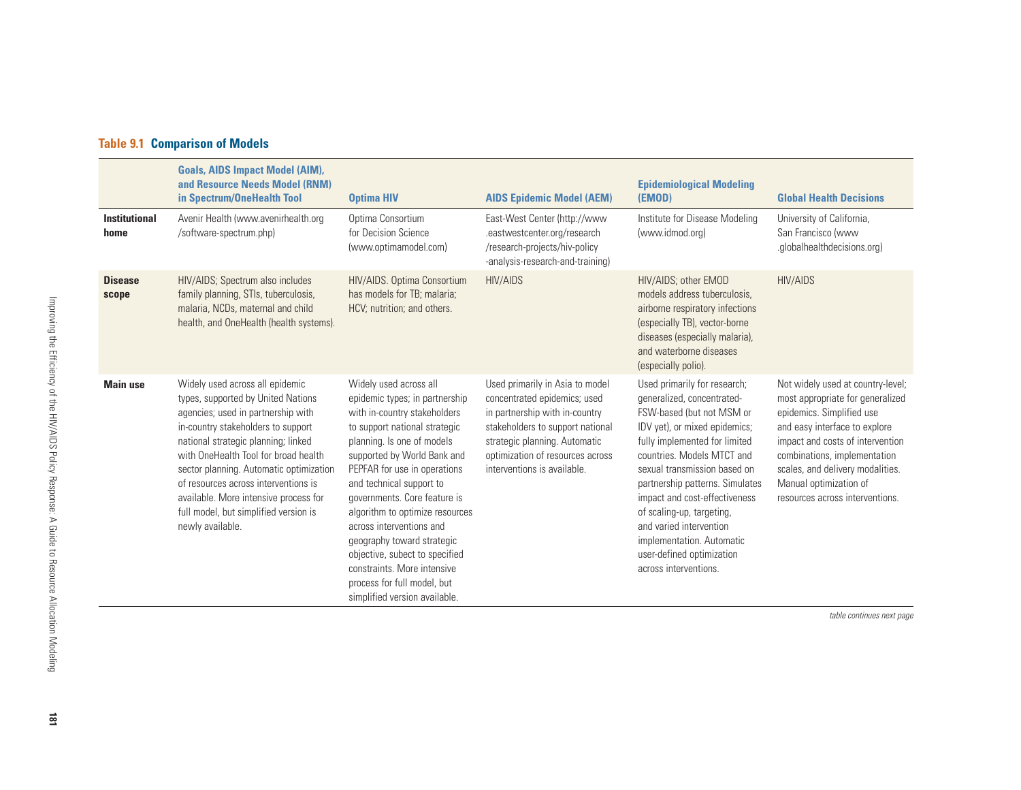|  | <b>Table 9.1 Comparison of Models</b> |  |
|--|---------------------------------------|--|
|--|---------------------------------------|--|

|                              | <b>Goals, AIDS Impact Model (AIM),</b><br>and Resource Needs Model (RNM)<br>in Spectrum/OneHealth Tool                                                                                                                                                                                                                                                                                                                    | <b>Optima HIV</b>                                                                                                                                                                                                                                                                                                                                                                                                                                                                                                | <b>AIDS Epidemic Model (AEM)</b>                                                                                                                                                                                                          | <b>Epidemiological Modeling</b><br>(EMOD)                                                                                                                                                                                                                                                                                                                                                                                              | <b>Global Health Decisions</b>                                                                                                                                                                                                                                                                           |
|------------------------------|---------------------------------------------------------------------------------------------------------------------------------------------------------------------------------------------------------------------------------------------------------------------------------------------------------------------------------------------------------------------------------------------------------------------------|------------------------------------------------------------------------------------------------------------------------------------------------------------------------------------------------------------------------------------------------------------------------------------------------------------------------------------------------------------------------------------------------------------------------------------------------------------------------------------------------------------------|-------------------------------------------------------------------------------------------------------------------------------------------------------------------------------------------------------------------------------------------|----------------------------------------------------------------------------------------------------------------------------------------------------------------------------------------------------------------------------------------------------------------------------------------------------------------------------------------------------------------------------------------------------------------------------------------|----------------------------------------------------------------------------------------------------------------------------------------------------------------------------------------------------------------------------------------------------------------------------------------------------------|
| <b>Institutional</b><br>home | Avenir Health (www.avenirhealth.org<br>/software-spectrum.php)                                                                                                                                                                                                                                                                                                                                                            | Optima Consortium<br>for Decision Science<br>(www.optimamodel.com)                                                                                                                                                                                                                                                                                                                                                                                                                                               | East-West Center (http://www<br>.eastwestcenter.org/research<br>/research-projects/hiv-policy<br>-analysis-research-and-training)                                                                                                         | Institute for Disease Modeling<br>(www.idmod.org)                                                                                                                                                                                                                                                                                                                                                                                      | University of California,<br>San Francisco (www<br>.globalhealthdecisions.org)                                                                                                                                                                                                                           |
| <b>Disease</b><br>scope      | HIV/AIDS; Spectrum also includes<br>family planning, STIs, tuberculosis,<br>malaria, NCDs, maternal and child<br>health, and OneHealth (health systems).                                                                                                                                                                                                                                                                  | HIV/AIDS. Optima Consortium<br>has models for TB; malaria;<br>HCV; nutrition; and others.                                                                                                                                                                                                                                                                                                                                                                                                                        | <b>HIV/AIDS</b>                                                                                                                                                                                                                           | HIV/AIDS; other EMOD<br>models address tuberculosis.<br>airborne respiratory infections<br>(especially TB), vector-borne<br>diseases (especially malaria),<br>and waterborne diseases<br>(especially polio).                                                                                                                                                                                                                           | <b>HIV/AIDS</b>                                                                                                                                                                                                                                                                                          |
| <b>Main use</b>              | Widely used across all epidemic<br>types, supported by United Nations<br>agencies; used in partnership with<br>in-country stakeholders to support<br>national strategic planning; linked<br>with OneHealth Tool for broad health<br>sector planning. Automatic optimization<br>of resources across interventions is<br>available. More intensive process for<br>full model, but simplified version is<br>newly available. | Widely used across all<br>epidemic types; in partnership<br>with in-country stakeholders<br>to support national strategic<br>planning. Is one of models<br>supported by World Bank and<br>PEPFAR for use in operations<br>and technical support to<br>governments. Core feature is<br>algorithm to optimize resources<br>across interventions and<br>geography toward strategic<br>objective, subect to specified<br>constraints. More intensive<br>process for full model, but<br>simplified version available. | Used primarily in Asia to model<br>concentrated epidemics; used<br>in partnership with in-country<br>stakeholders to support national<br>strategic planning. Automatic<br>optimization of resources across<br>interventions is available. | Used primarily for research;<br>qeneralized, concentrated-<br>FSW-based (but not MSM or<br>IDV yet), or mixed epidemics;<br>fully implemented for limited<br>countries. Models MTCT and<br>sexual transmission based on<br>partnership patterns. Simulates<br>impact and cost-effectiveness<br>of scaling-up, targeting,<br>and varied intervention<br>implementation. Automatic<br>user-defined optimization<br>across interventions. | Not widely used at country-level;<br>most appropriate for generalized<br>epidemics. Simplified use<br>and easy interface to explore<br>impact and costs of intervention<br>combinations, implementation<br>scales, and delivery modalities.<br>Manual optimization of<br>resources across interventions. |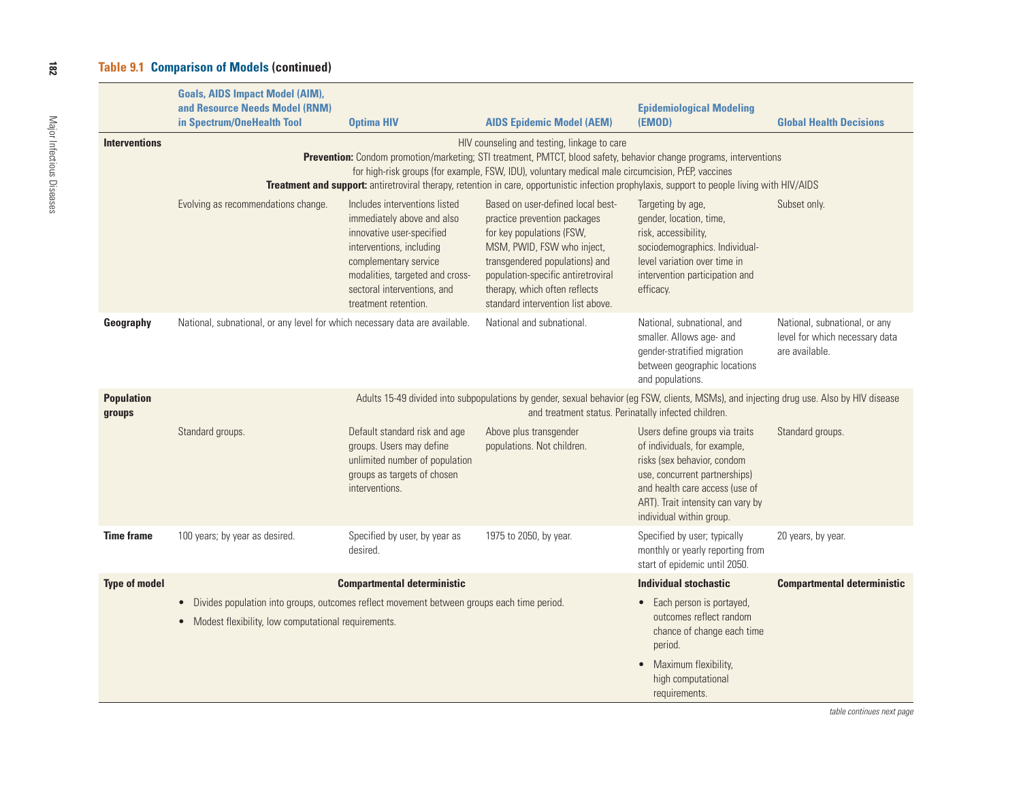|                             | <b>Goals, AIDS Impact Model (AIM),</b><br>and Resource Needs Model (RNM)<br>in Spectrum/OneHealth Tool                                                                                                                                                                                                                                                                                                                   | <b>Optima HIV</b>                                                                                                                                                                                                                       | <b>AIDS Epidemic Model (AEM)</b>                                                                                                                                                                                                                                           | <b>Epidemiological Modeling</b><br>(EMOD)                                                                                                                                                                                         | <b>Global Health Decisions</b>                                                    |
|-----------------------------|--------------------------------------------------------------------------------------------------------------------------------------------------------------------------------------------------------------------------------------------------------------------------------------------------------------------------------------------------------------------------------------------------------------------------|-----------------------------------------------------------------------------------------------------------------------------------------------------------------------------------------------------------------------------------------|----------------------------------------------------------------------------------------------------------------------------------------------------------------------------------------------------------------------------------------------------------------------------|-----------------------------------------------------------------------------------------------------------------------------------------------------------------------------------------------------------------------------------|-----------------------------------------------------------------------------------|
| <b>Interventions</b>        | HIV counseling and testing, linkage to care<br>Prevention: Condom promotion/marketing; STI treatment, PMTCT, blood safety, behavior change programs, interventions<br>for high-risk groups (for example, FSW, IDU), voluntary medical male circumcision, PrEP, vaccines<br>Treatment and support: antiretroviral therapy, retention in care, opportunistic infection prophylaxis, support to people living with HIV/AIDS |                                                                                                                                                                                                                                         |                                                                                                                                                                                                                                                                            |                                                                                                                                                                                                                                   |                                                                                   |
|                             | Evolving as recommendations change.                                                                                                                                                                                                                                                                                                                                                                                      | Includes interventions listed<br>immediately above and also<br>innovative user-specified<br>interventions, including<br>complementary service<br>modalities, targeted and cross-<br>sectoral interventions, and<br>treatment retention. | Based on user-defined local best-<br>practice prevention packages<br>for key populations (FSW,<br>MSM, PWID, FSW who inject,<br>transgendered populations) and<br>population-specific antiretroviral<br>therapy, which often reflects<br>standard intervention list above. | Targeting by age,<br>gender, location, time,<br>risk, accessibility,<br>sociodemographics. Individual-<br>level variation over time in<br>intervention participation and<br>efficacy.                                             | Subset only.                                                                      |
| Geography                   | National, subnational, or any level for which necessary data are available.                                                                                                                                                                                                                                                                                                                                              |                                                                                                                                                                                                                                         | National and subnational.                                                                                                                                                                                                                                                  | National, subnational, and<br>smaller. Allows age- and<br>gender-stratified migration<br>between geographic locations<br>and populations.                                                                                         | National, subnational, or any<br>level for which necessary data<br>are available. |
| <b>Population</b><br>groups | Adults 15-49 divided into subpopulations by gender, sexual behavior (eg FSW, clients, MSMs), and injecting drug use. Also by HIV disease<br>and treatment status. Perinatally infected children.                                                                                                                                                                                                                         |                                                                                                                                                                                                                                         |                                                                                                                                                                                                                                                                            |                                                                                                                                                                                                                                   |                                                                                   |
|                             | Standard groups.                                                                                                                                                                                                                                                                                                                                                                                                         | Default standard risk and age<br>groups. Users may define<br>unlimited number of population<br>groups as targets of chosen<br>interventions.                                                                                            | Above plus transgender<br>populations. Not children.                                                                                                                                                                                                                       | Users define groups via traits<br>of individuals, for example,<br>risks (sex behavior, condom<br>use, concurrent partnerships)<br>and health care access (use of<br>ART). Trait intensity can vary by<br>individual within group. | Standard groups.                                                                  |
| <b>Time frame</b>           | 100 years; by year as desired.                                                                                                                                                                                                                                                                                                                                                                                           | Specified by user, by year as<br>desired.                                                                                                                                                                                               | 1975 to 2050, by year.                                                                                                                                                                                                                                                     | Specified by user; typically<br>monthly or yearly reporting from<br>start of epidemic until 2050.                                                                                                                                 | 20 years, by year.                                                                |
| <b>Type of model</b>        |                                                                                                                                                                                                                                                                                                                                                                                                                          | <b>Compartmental deterministic</b>                                                                                                                                                                                                      |                                                                                                                                                                                                                                                                            | <b>Individual stochastic</b>                                                                                                                                                                                                      | <b>Compartmental deterministic</b>                                                |
|                             | Divides population into groups, outcomes reflect movement between groups each time period.<br>$\bullet$<br>• Modest flexibility, low computational requirements.                                                                                                                                                                                                                                                         |                                                                                                                                                                                                                                         |                                                                                                                                                                                                                                                                            | • Each person is portayed,<br>outcomes reflect random<br>chance of change each time<br>period.<br>Maximum flexibility,<br>$\bullet$                                                                                               |                                                                                   |
|                             |                                                                                                                                                                                                                                                                                                                                                                                                                          |                                                                                                                                                                                                                                         |                                                                                                                                                                                                                                                                            | high computational<br>requirements.                                                                                                                                                                                               |                                                                                   |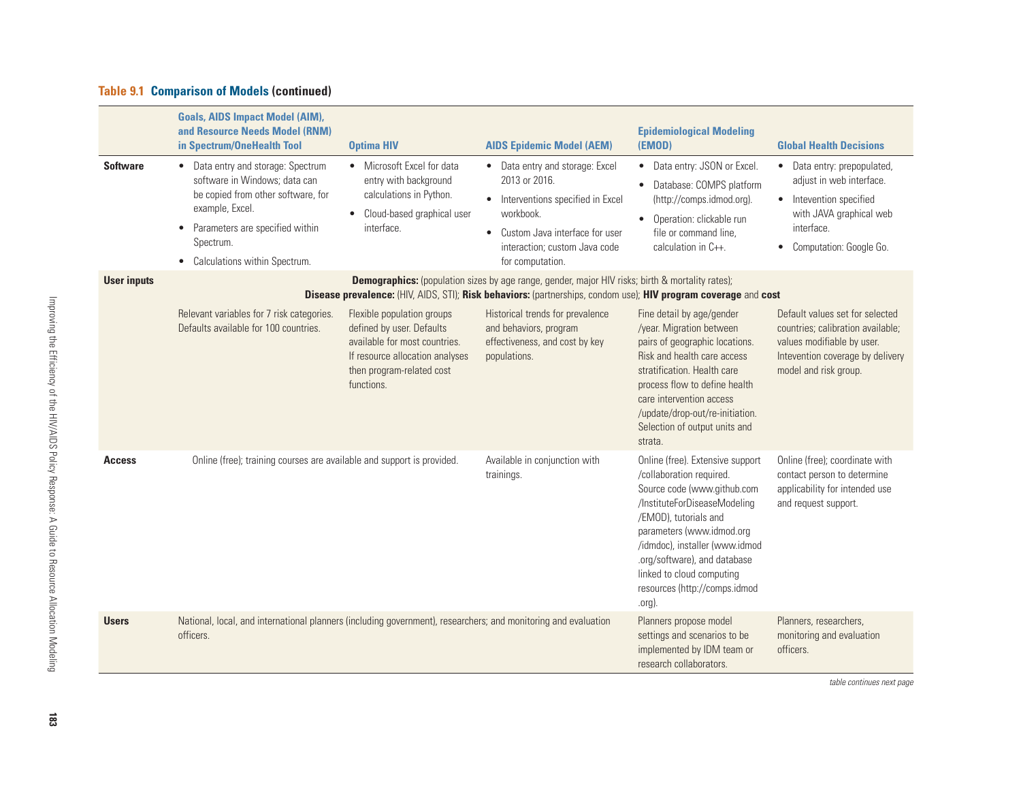## **Table 9.1 Comparison of Models (continued)**

| <b>Software</b>    | <b>Goals, AIDS Impact Model (AIM),</b><br>and Resource Needs Model (RNM)<br>in Spectrum/OneHealth Tool<br>• Data entry and storage: Spectrum<br>software in Windows: data can<br>be copied from other software, for<br>example, Excel.<br>Parameters are specified within<br>Spectrum.<br>• Calculations within Spectrum. | <b>Optima HIV</b><br>Microsoft Excel for data<br>$\bullet$<br>entry with background<br>calculations in Python.<br>Cloud-based graphical user<br>interface.             | <b>AIDS Epidemic Model (AEM)</b><br>• Data entry and storage: Excel<br>2013 or 2016.<br>• Interventions specified in Excel<br>workbook.<br>Custom Java interface for user<br>$\bullet$<br>interaction: custom Java code<br>for computation.                                                                                                | <b>Epidemiological Modeling</b><br>(EMOD)<br>• Data entry: JSON or Excel.<br>• Database: COMPS platform<br>(http://comps.idmod.org).<br>• Operation: clickable run<br>file or command line,<br>calculation in $C_{++}$ .                                                                                                    | <b>Global Health Decisions</b><br>• Data entry: prepopulated,<br>adjust in web interface.<br>• Intevention specified<br>with JAVA graphical web<br>interface.<br>Computation: Google Go. |
|--------------------|---------------------------------------------------------------------------------------------------------------------------------------------------------------------------------------------------------------------------------------------------------------------------------------------------------------------------|------------------------------------------------------------------------------------------------------------------------------------------------------------------------|--------------------------------------------------------------------------------------------------------------------------------------------------------------------------------------------------------------------------------------------------------------------------------------------------------------------------------------------|-----------------------------------------------------------------------------------------------------------------------------------------------------------------------------------------------------------------------------------------------------------------------------------------------------------------------------|------------------------------------------------------------------------------------------------------------------------------------------------------------------------------------------|
| <b>User inputs</b> | Relevant variables for 7 risk categories.<br>Defaults available for 100 countries.                                                                                                                                                                                                                                        | Flexible population groups<br>defined by user. Defaults<br>available for most countries.<br>If resource allocation analyses<br>then program-related cost<br>functions. | <b>Demographics:</b> (population sizes by age range, gender, major HIV risks; birth & mortality rates);<br>Disease prevalence: (HIV, AIDS, STI); Risk behaviors: (partnerships, condom use); HIV program coverage and cost<br>Historical trends for prevalence<br>and behaviors, program<br>effectiveness, and cost by key<br>populations. | Fine detail by age/gender<br>/year. Migration between<br>pairs of geographic locations.<br>Risk and health care access<br>stratification. Health care<br>process flow to define health<br>care intervention access<br>/update/drop-out/re-initiation.<br>Selection of output units and<br>strata.                           | Default values set for selected<br>countries; calibration available;<br>values modifiable by user.<br>Intevention coverage by delivery<br>model and risk group.                          |
| <b>Access</b>      | Online (free); training courses are available and support is provided.                                                                                                                                                                                                                                                    |                                                                                                                                                                        | Available in conjunction with<br>trainings.                                                                                                                                                                                                                                                                                                | Online (free). Extensive support<br>/collaboration required.<br>Source code (www.github.com<br>/InstituteForDiseaseModeling<br>/EMOD), tutorials and<br>parameters (www.idmod.org<br>/idmdoc), installer (www.idmod<br>.org/software), and database<br>linked to cloud computing<br>resources (http://comps.idmod<br>.org). | Online (free); coordinate with<br>contact person to determine<br>applicability for intended use<br>and request support.                                                                  |
| <b>Users</b>       | National, local, and international planners (including government), researchers; and monitoring and evaluation<br>officers.                                                                                                                                                                                               |                                                                                                                                                                        |                                                                                                                                                                                                                                                                                                                                            | Planners propose model<br>settings and scenarios to be<br>implemented by IDM team or<br>research collaborators.                                                                                                                                                                                                             | Planners, researchers,<br>monitoring and evaluation<br>officers.                                                                                                                         |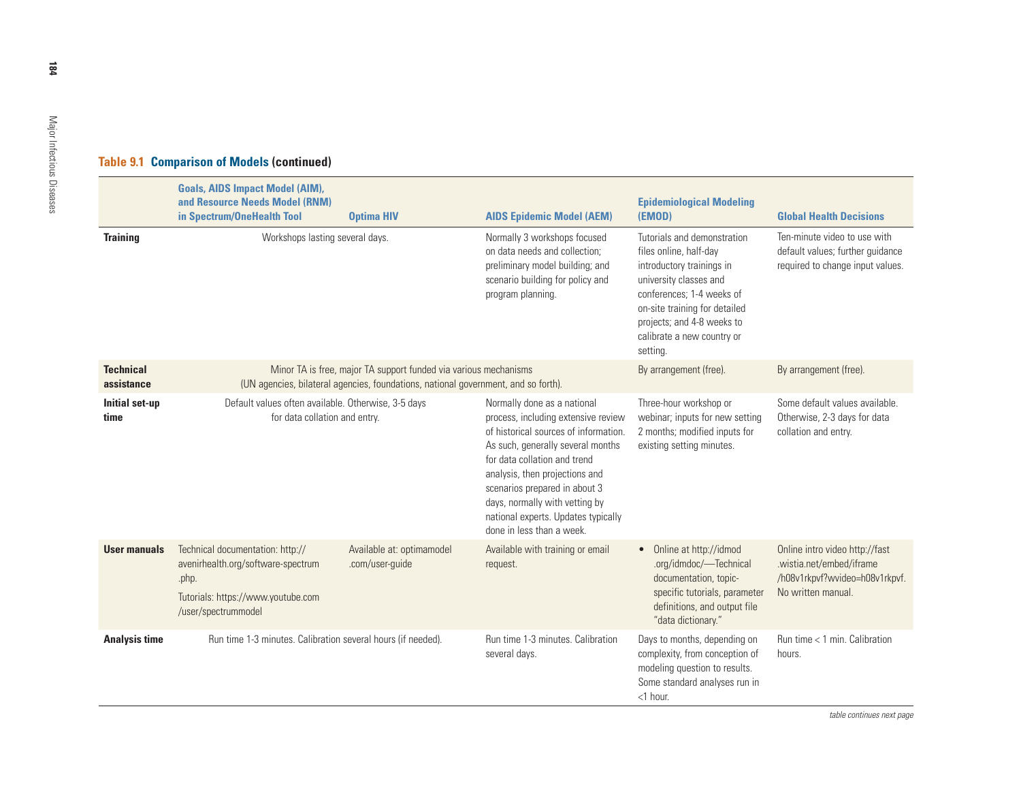|                                | <b>Goals, AIDS Impact Model (AIM),</b><br>and Resource Needs Model (RNM)<br>in Spectrum/OneHealth Tool                                                 | <b>Optima HIV</b>                            | <b>AIDS Epidemic Model (AEM)</b>                                                                                                                                                                                                                                                                                                                          | <b>Epidemiological Modeling</b><br>(EMOD)                                                                                                                                                                                                          | <b>Global Health Decisions</b>                                                                                     |
|--------------------------------|--------------------------------------------------------------------------------------------------------------------------------------------------------|----------------------------------------------|-----------------------------------------------------------------------------------------------------------------------------------------------------------------------------------------------------------------------------------------------------------------------------------------------------------------------------------------------------------|----------------------------------------------------------------------------------------------------------------------------------------------------------------------------------------------------------------------------------------------------|--------------------------------------------------------------------------------------------------------------------|
| <b>Training</b>                | Workshops lasting several days.                                                                                                                        |                                              | Normally 3 workshops focused<br>on data needs and collection;<br>preliminary model building; and<br>scenario building for policy and<br>program planning.                                                                                                                                                                                                 | Tutorials and demonstration<br>files online, half-day<br>introductory trainings in<br>university classes and<br>conferences; 1-4 weeks of<br>on-site training for detailed<br>projects; and 4-8 weeks to<br>calibrate a new country or<br>setting. | Ten-minute video to use with<br>default values; further guidance<br>required to change input values.               |
| <b>Technical</b><br>assistance | Minor TA is free, major TA support funded via various mechanisms<br>(UN agencies, bilateral agencies, foundations, national government, and so forth). |                                              |                                                                                                                                                                                                                                                                                                                                                           | By arrangement (free).                                                                                                                                                                                                                             | By arrangement (free).                                                                                             |
| Initial set-up<br>time         | Default values often available. Otherwise, 3-5 days<br>for data collation and entry.                                                                   |                                              | Normally done as a national<br>process, including extensive review<br>of historical sources of information.<br>As such, generally several months<br>for data collation and trend<br>analysis, then projections and<br>scenarios prepared in about 3<br>days, normally with vetting by<br>national experts. Updates typically<br>done in less than a week. | Three-hour workshop or<br>webinar; inputs for new setting<br>2 months; modified inputs for<br>existing setting minutes.                                                                                                                            | Some default values available.<br>Otherwise, 2-3 days for data<br>collation and entry.                             |
| <b>User manuals</b>            | Technical documentation: http://<br>avenirhealth.org/software-spectrum<br>.php.<br>Tutorials: https://www.youtube.com<br>/user/spectrummodel           | Available at: optimamodel<br>.com/user-guide | Available with training or email<br>request.                                                                                                                                                                                                                                                                                                              | • Online at http://idmod<br>.org/idmdoc/-Technical<br>documentation, topic-<br>specific tutorials, parameter<br>definitions, and output file<br>"data dictionary."                                                                                 | Online intro video http://fast<br>.wistia.net/embed/iframe<br>/h08v1rkpvf?wvideo=h08v1rkpvf.<br>No written manual. |
| <b>Analysis time</b>           | Run time 1-3 minutes. Calibration several hours (if needed).                                                                                           |                                              | Run time 1-3 minutes. Calibration<br>several days.                                                                                                                                                                                                                                                                                                        | Days to months, depending on<br>complexity, from conception of<br>modeling question to results.<br>Some standard analyses run in<br>$<$ 1 hour.                                                                                                    | Run time $<$ 1 min. Calibration<br>hours.                                                                          |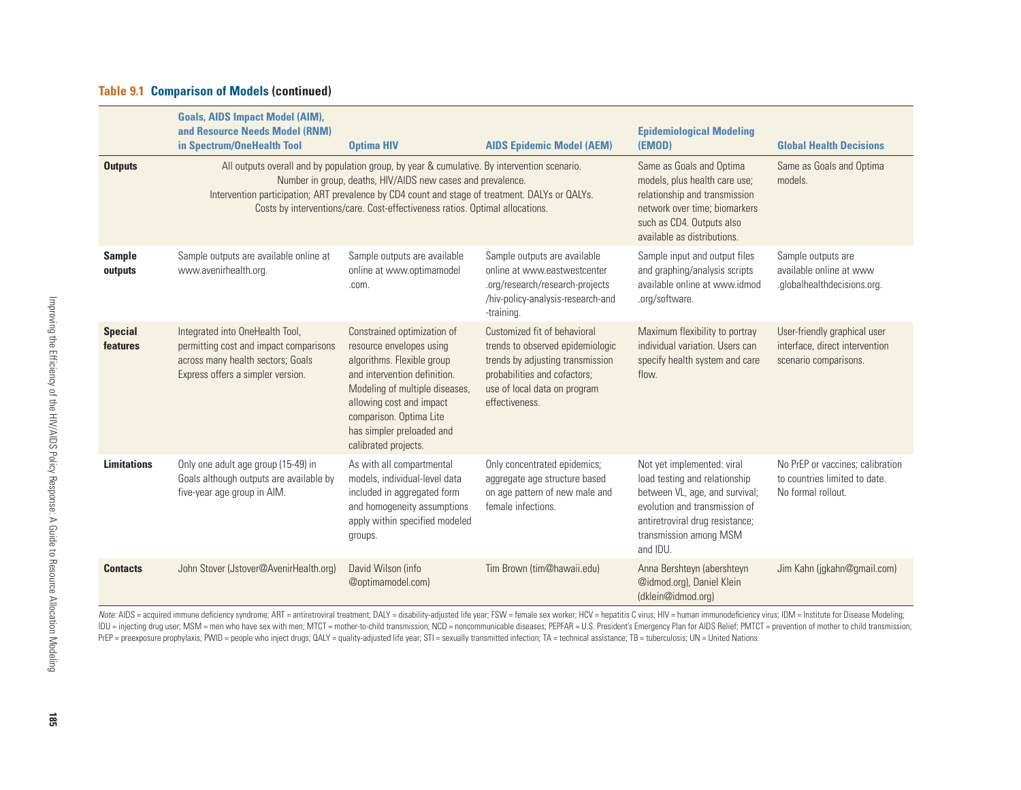## **Table 9.1 Comparison of Models (continued)**

|                            | <b>Goals, AIDS Impact Model (AIM),</b><br>and Resource Needs Model (RNM)<br>in Spectrum/OneHealth Tool                                                                                                                                                                                                                                         | <b>Optima HIV</b>                                                                                                                                                                                                                                                   | <b>AIDS Epidemic Model (AEM)</b>                                                                                                                                                       | <b>Epidemiological Modeling</b><br>(EMOD)                                                                                                                                                               | <b>Global Health Decisions</b>                                                          |
|----------------------------|------------------------------------------------------------------------------------------------------------------------------------------------------------------------------------------------------------------------------------------------------------------------------------------------------------------------------------------------|---------------------------------------------------------------------------------------------------------------------------------------------------------------------------------------------------------------------------------------------------------------------|----------------------------------------------------------------------------------------------------------------------------------------------------------------------------------------|---------------------------------------------------------------------------------------------------------------------------------------------------------------------------------------------------------|-----------------------------------------------------------------------------------------|
| <b>Outputs</b>             | All outputs overall and by population group, by year & cumulative. By intervention scenario.<br>Number in group, deaths, HIV/AIDS new cases and prevalence.<br>Intervention participation; ART prevalence by CD4 count and stage of treatment. DALYs or QALYs.<br>Costs by interventions/care. Cost-effectiveness ratios. Optimal allocations. |                                                                                                                                                                                                                                                                     |                                                                                                                                                                                        | Same as Goals and Optima<br>models, plus health care use;<br>relationship and transmission<br>network over time; biomarkers<br>such as CD4. Outputs also<br>available as distributions.                 | Same as Goals and Optima<br>models.                                                     |
| <b>Sample</b><br>outputs   | Sample outputs are available online at<br>www.avenirhealth.org.                                                                                                                                                                                                                                                                                | Sample outputs are available<br>online at www.optimamodel<br>.com.                                                                                                                                                                                                  | Sample outputs are available<br>online at www.eastwestcenter<br>.org/research/research-projects<br>/hiv-policy-analysis-research-and<br>-training.                                     | Sample input and output files<br>and graphing/analysis scripts<br>available online at www.idmod<br>.org/software.                                                                                       | Sample outputs are<br>available online at www<br>.globalhealthdecisions.org.            |
| <b>Special</b><br>features | Integrated into OneHealth Tool,<br>permitting cost and impact comparisons<br>across many health sectors; Goals<br>Express offers a simpler version.                                                                                                                                                                                            | Constrained optimization of<br>resource envelopes using<br>algorithms. Flexible group<br>and intervention definition.<br>Modeling of multiple diseases,<br>allowing cost and impact<br>comparison. Optima Lite<br>has simpler preloaded and<br>calibrated projects. | Customized fit of behavioral<br>trends to observed epidemiologic<br>trends by adjusting transmission<br>probabilities and cofactors;<br>use of local data on program<br>effectiveness. | Maximum flexibility to portray<br>individual variation. Users can<br>specify health system and care<br>flow.                                                                                            | User-friendly graphical user<br>interface, direct intervention<br>scenario comparisons. |
| <b>Limitations</b>         | Only one adult age group (15-49) in<br>Goals although outputs are available by<br>five-year age group in AIM.                                                                                                                                                                                                                                  | As with all compartmental<br>models, individual-level data<br>included in aggregated form<br>and homogeneity assumptions<br>apply within specified modeled<br>groups.                                                                                               | Only concentrated epidemics;<br>aggregate age structure based<br>on age pattern of new male and<br>female infections.                                                                  | Not yet implemented: viral<br>load testing and relationship<br>between VL, age, and survival;<br>evolution and transmission of<br>antiretroviral drug resistance;<br>transmission among MSM<br>and IDU. | No PrEP or vaccines; calibration<br>to countries limited to date.<br>No formal rollout. |
| <b>Contacts</b>            | John Stover (Jstover@AvenirHealth.org)                                                                                                                                                                                                                                                                                                         | David Wilson (info<br>@optimamodel.com)                                                                                                                                                                                                                             | Tim Brown (tim@hawaii.edu)                                                                                                                                                             | Anna Bershteyn (abershteyn<br>@idmod.org), Daniel Klein<br>(dklein@idmod.org)                                                                                                                           | Jim Kahn (jgkahn@gmail.com)                                                             |

Note: AIDS = acquired immune deficiency syndrome; ART = antiretroviral treatment; DALY = disability-adjusted life year; FSW = female sex worker; HCV = hepatitis C virus; HIV = human immunodeficiency virus; IDM = Institute IDU = injecting drug user; MSM = men who have sex with men; MTCT = mother-to-child transmission; NCD = noncommunicable diseases; PEPFAR = U.S. President's Emergency Plan for AIDS Relief; PMTCT = prevention of mother to chi PrEP = preexposure prophylaxis; PWID = people who inject drugs; QALY = quality-adjusted life year; STI = sexually transmitted infection; TA = technical assistance; TB = tuberculosis; UN = United Nations.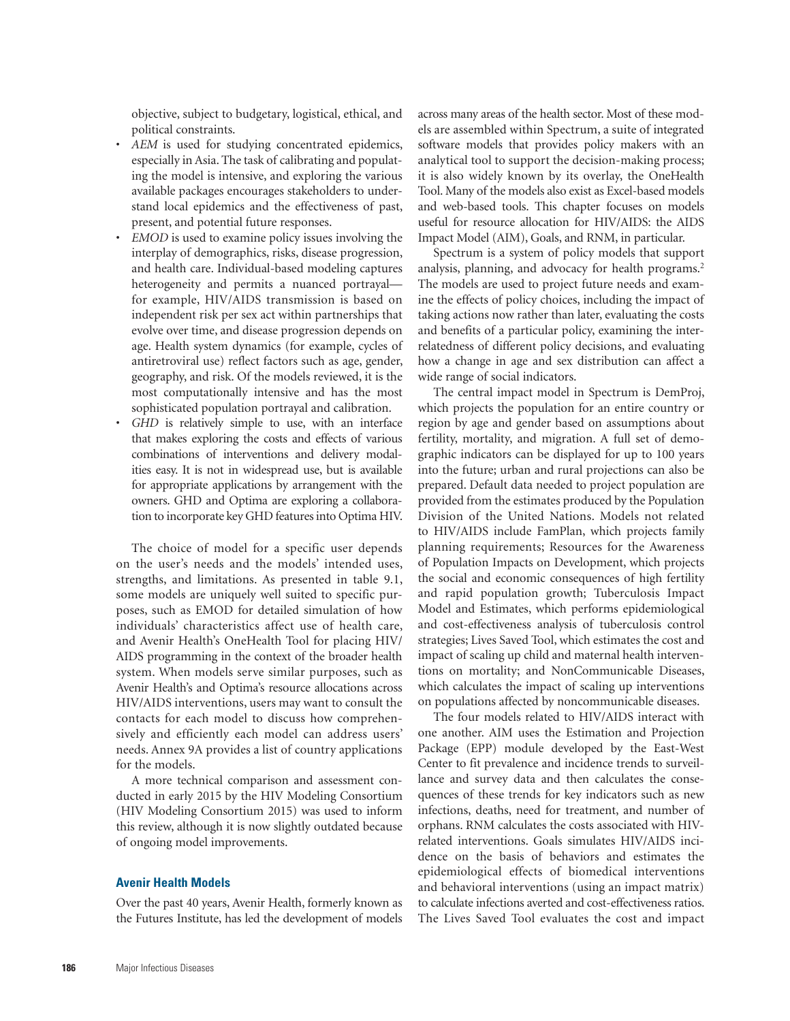objective, subject to budgetary, logistical, ethical, and political constraints.

- AEM is used for studying concentrated epidemics, especially in Asia. The task of calibrating and populating the model is intensive, and exploring the various available packages encourages stakeholders to understand local epidemics and the effectiveness of past, present, and potential future responses.
- *EMOD* is used to examine policy issues involving the interplay of demographics, risks, disease progression, and health care. Individual-based modeling captures heterogeneity and permits a nuanced portrayal for example, HIV/AIDS transmission is based on independent risk per sex act within partnerships that evolve over time, and disease progression depends on age. Health system dynamics (for example, cycles of antiretroviral use) reflect factors such as age, gender, geography, and risk. Of the models reviewed, it is the most computationally intensive and has the most sophisticated population portrayal and calibration.
- GHD is relatively simple to use, with an interface that makes exploring the costs and effects of various combinations of interventions and delivery modalities easy. It is not in widespread use, but is available for appropriate applications by arrangement with the owners. GHD and Optima are exploring a collaboration to incorporate key GHD features into Optima HIV.

The choice of model for a specific user depends on the user's needs and the models' intended uses, strengths, and limitations. As presented in table 9.1, some models are uniquely well suited to specific purposes, such as EMOD for detailed simulation of how individuals' characteristics affect use of health care, and Avenir Health's OneHealth Tool for placing HIV/ AIDS programming in the context of the broader health system. When models serve similar purposes, such as Avenir Health's and Optima's resource allocations across HIV/AIDS interventions, users may want to consult the contacts for each model to discuss how comprehensively and efficiently each model can address users' needs. Annex 9A provides a list of country applications for the models.

A more technical comparison and assessment conducted in early 2015 by the HIV Modeling Consortium (HIV Modeling Consortium 2015) was used to inform this review, although it is now slightly outdated because of ongoing model improvements.

#### **Avenir Health Models**

Over the past 40 years, Avenir Health, formerly known as the Futures Institute, has led the development of models across many areas of the health sector. Most of these models are assembled within Spectrum, a suite of integrated software models that provides policy makers with an analytical tool to support the decision-making process; it is also widely known by its overlay, the OneHealth Tool. Many of the models also exist as Excel-based models and web-based tools. This chapter focuses on models useful for resource allocation for HIV/AIDS: the AIDS Impact Model (AIM), Goals, and RNM, in particular.

Spectrum is a system of policy models that support analysis, planning, and advocacy for health programs.<sup>2</sup> The models are used to project future needs and examine the effects of policy choices, including the impact of taking actions now rather than later, evaluating the costs and benefits of a particular policy, examining the interrelatedness of different policy decisions, and evaluating how a change in age and sex distribution can affect a wide range of social indicators.

The central impact model in Spectrum is DemProj, which projects the population for an entire country or region by age and gender based on assumptions about fertility, mortality, and migration. A full set of demographic indicators can be displayed for up to 100 years into the future; urban and rural projections can also be prepared. Default data needed to project population are provided from the estimates produced by the Population Division of the United Nations. Models not related to HIV/AIDS include FamPlan, which projects family planning requirements; Resources for the Awareness of Population Impacts on Development, which projects the social and economic consequences of high fertility and rapid population growth; Tuberculosis Impact Model and Estimates, which performs epidemiological and cost-effectiveness analysis of tuberculosis control strategies; Lives Saved Tool, which estimates the cost and impact of scaling up child and maternal health interventions on mortality; and NonCommunicable Diseases, which calculates the impact of scaling up interventions on populations affected by noncommunicable diseases.

The four models related to HIV/AIDS interact with one another. AIM uses the Estimation and Projection Package (EPP) module developed by the East-West Center to fit prevalence and incidence trends to surveillance and survey data and then calculates the consequences of these trends for key indicators such as new infections, deaths, need for treatment, and number of orphans. RNM calculates the costs associated with HIVrelated interventions. Goals simulates HIV/AIDS incidence on the basis of behaviors and estimates the epidemiological effects of biomedical interventions and behavioral interventions (using an impact matrix) to calculate infections averted and cost-effectiveness ratios. The Lives Saved Tool evaluates the cost and impact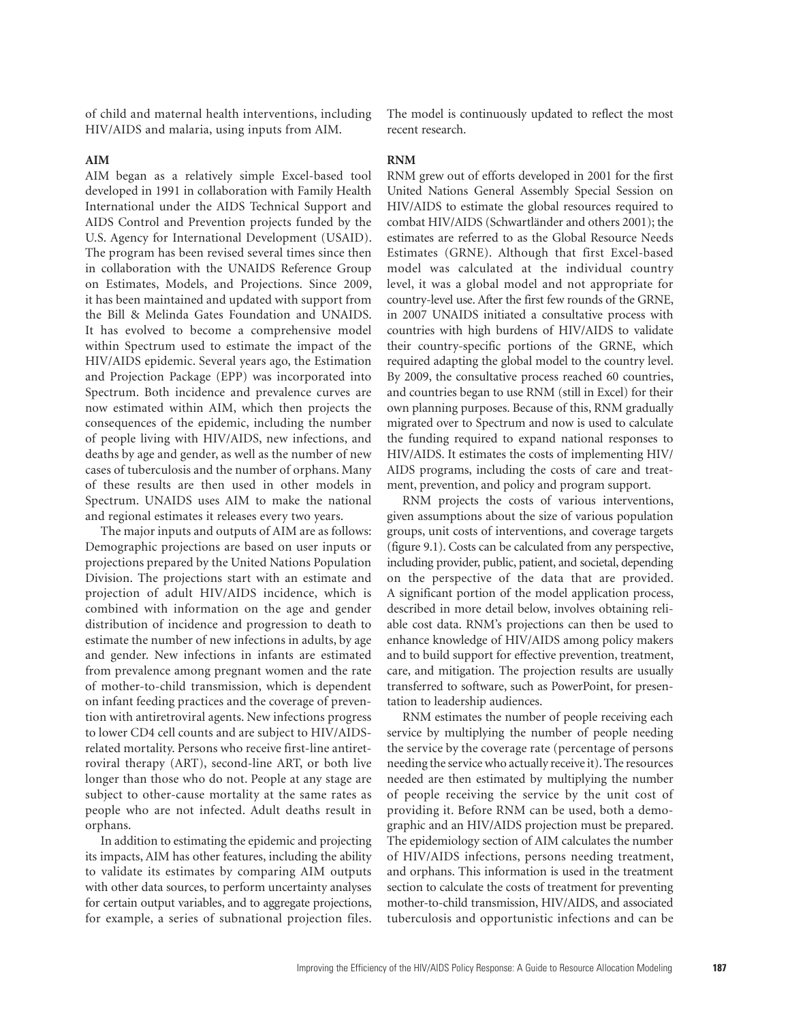of child and maternal health interventions, including HIV/AIDS and malaria, using inputs from AIM.

#### **AIM**

AIM began as a relatively simple Excel-based tool developed in 1991 in collaboration with Family Health International under the AIDS Technical Support and AIDS Control and Prevention projects funded by the U.S. Agency for International Development (USAID). The program has been revised several times since then in collaboration with the UNAIDS Reference Group on Estimates, Models, and Projections. Since 2009, it has been maintained and updated with support from the Bill & Melinda Gates Foundation and UNAIDS. It has evolved to become a comprehensive model within Spectrum used to estimate the impact of the HIV/AIDS epidemic. Several years ago, the Estimation and Projection Package (EPP) was incorporated into Spectrum. Both incidence and prevalence curves are now estimated within AIM, which then projects the consequences of the epidemic, including the number of people living with HIV/AIDS, new infections, and deaths by age and gender, as well as the number of new cases of tuberculosis and the number of orphans. Many of these results are then used in other models in Spectrum. UNAIDS uses AIM to make the national and regional estimates it releases every two years.

The major inputs and outputs of AIM are as follows: Demographic projections are based on user inputs or projections prepared by the United Nations Population Division. The projections start with an estimate and projection of adult HIV/AIDS incidence, which is combined with information on the age and gender distribution of incidence and progression to death to estimate the number of new infections in adults, by age and gender. New infections in infants are estimated from prevalence among pregnant women and the rate of mother-to-child transmission, which is dependent on infant feeding practices and the coverage of prevention with antiretroviral agents. New infections progress to lower CD4 cell counts and are subject to HIV/AIDSrelated mortality. Persons who receive first-line antiretroviral therapy (ART), second-line ART, or both live longer than those who do not. People at any stage are subject to other-cause mortality at the same rates as people who are not infected. Adult deaths result in orphans.

In addition to estimating the epidemic and projecting its impacts, AIM has other features, including the ability to validate its estimates by comparing AIM outputs with other data sources, to perform uncertainty analyses for certain output variables, and to aggregate projections, for example, a series of subnational projection files. The model is continuously updated to reflect the most recent research.

#### **RNM**

RNM grew out of efforts developed in 2001 for the first United Nations General Assembly Special Session on HIV/AIDS to estimate the global resources required to combat HIV/AIDS (Schwartländer and others 2001); the estimates are referred to as the Global Resource Needs Estimates (GRNE). Although that first Excel-based model was calculated at the individual country level, it was a global model and not appropriate for country-level use. After the first few rounds of the GRNE, in 2007 UNAIDS initiated a consultative process with countries with high burdens of HIV/AIDS to validate their country-specific portions of the GRNE, which required adapting the global model to the country level. By 2009, the consultative process reached 60 countries, and countries began to use RNM (still in Excel) for their own planning purposes. Because of this, RNM gradually migrated over to Spectrum and now is used to calculate the funding required to expand national responses to HIV/AIDS. It estimates the costs of implementing HIV/ AIDS programs, including the costs of care and treatment, prevention, and policy and program support.

RNM projects the costs of various interventions, given assumptions about the size of various population groups, unit costs of interventions, and coverage targets (figure 9.1). Costs can be calculated from any perspective, including provider, public, patient, and societal, depending on the perspective of the data that are provided. A significant portion of the model application process, described in more detail below, involves obtaining reliable cost data. RNM's projections can then be used to enhance knowledge of HIV/AIDS among policy makers and to build support for effective prevention, treatment, care, and mitigation. The projection results are usually transferred to software, such as PowerPoint, for presentation to leadership audiences.

RNM estimates the number of people receiving each service by multiplying the number of people needing the service by the coverage rate (percentage of persons needing the service who actually receive it). The resources needed are then estimated by multiplying the number of people receiving the service by the unit cost of providing it. Before RNM can be used, both a demographic and an HIV/AIDS projection must be prepared. The epidemiology section of AIM calculates the number of HIV/AIDS infections, persons needing treatment, and orphans. This information is used in the treatment section to calculate the costs of treatment for preventing mother-to-child transmission, HIV/AIDS, and associated tuberculosis and opportunistic infections and can be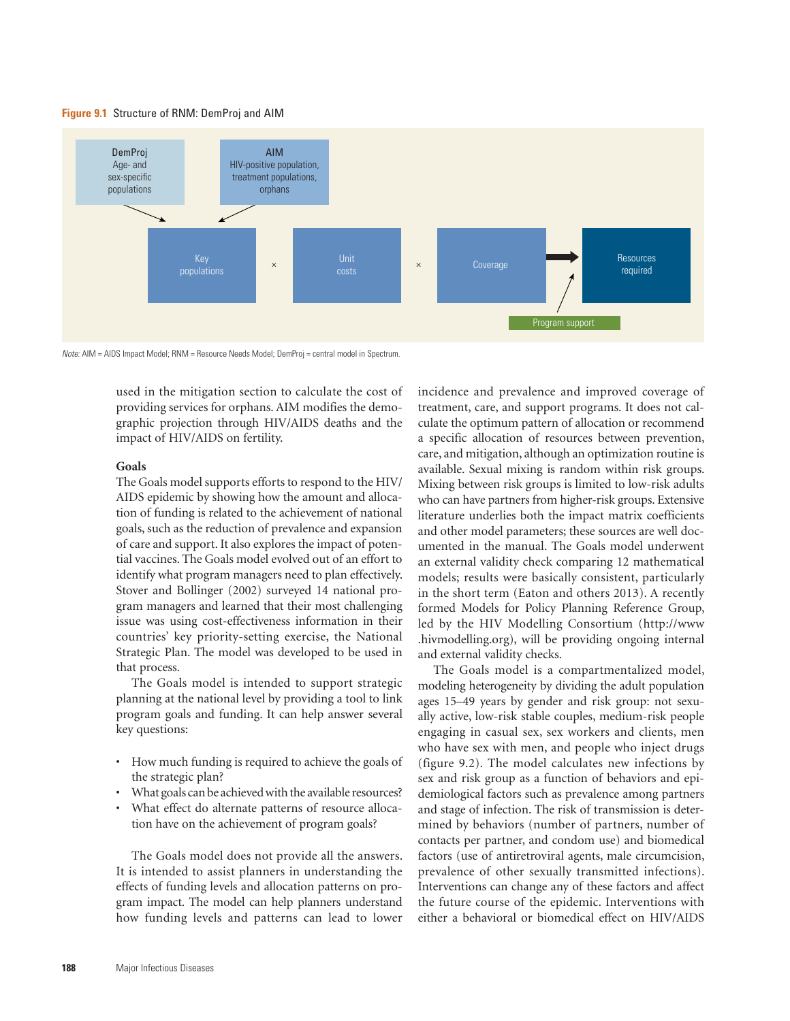#### **Figure 9.1** Structure of RNM: DemProj and AIM



Note: AIM = AIDS Impact Model; RNM = Resource Needs Model; DemProj = central model in Spectrum.

used in the mitigation section to calculate the cost of providing services for orphans. AIM modifies the demographic projection through HIV/AIDS deaths and the impact of HIV/AIDS on fertility.

#### **Goals**

The Goals model supports efforts to respond to the HIV/ AIDS epidemic by showing how the amount and allocation of funding is related to the achievement of national goals, such as the reduction of prevalence and expansion of care and support. It also explores the impact of potential vaccines. The Goals model evolved out of an effort to identify what program managers need to plan effectively. Stover and Bollinger (2002) surveyed 14 national program managers and learned that their most challenging issue was using cost-effectiveness information in their countries' key priority-setting exercise, the National Strategic Plan. The model was developed to be used in that process.

The Goals model is intended to support strategic planning at the national level by providing a tool to link program goals and funding. It can help answer several key questions:

- How much funding is required to achieve the goals of the strategic plan?
- What goals can be achieved with the available resources?
- What effect do alternate patterns of resource allocation have on the achievement of program goals?

The Goals model does not provide all the answers. It is intended to assist planners in understanding the effects of funding levels and allocation patterns on program impact. The model can help planners understand how funding levels and patterns can lead to lower incidence and prevalence and improved coverage of treatment, care, and support programs. It does not calculate the optimum pattern of allocation or recommend a specific allocation of resources between prevention, care, and mitigation, although an optimization routine is available. Sexual mixing is random within risk groups. Mixing between risk groups is limited to low-risk adults who can have partners from higher-risk groups. Extensive literature underlies both the impact matrix coefficients and other model parameters; these sources are well documented in the manual. The Goals model underwent an external validity check comparing 12 mathematical models; results were basically consistent, particularly in the short term (Eaton and others 2013). A recently formed Models for Policy Planning Reference Group, led by the HIV Modelling Consortium [\(http://www](http://www.hivmodelling.org)  [.hivmodelling.org\)](http://www.hivmodelling.org), will be providing ongoing internal and external validity checks.

The Goals model is a compartmentalized model, modeling heterogeneity by dividing the adult population ages 15–49 years by gender and risk group: not sexually active, low-risk stable couples, medium-risk people engaging in casual sex, sex workers and clients, men who have sex with men, and people who inject drugs (figure 9.2). The model calculates new infections by sex and risk group as a function of behaviors and epidemiological factors such as prevalence among partners and stage of infection. The risk of transmission is determined by behaviors (number of partners, number of contacts per partner, and condom use) and biomedical factors (use of antiretroviral agents, male circumcision, prevalence of other sexually transmitted infections). Interventions can change any of these factors and affect the future course of the epidemic. Interventions with either a behavioral or biomedical effect on HIV/AIDS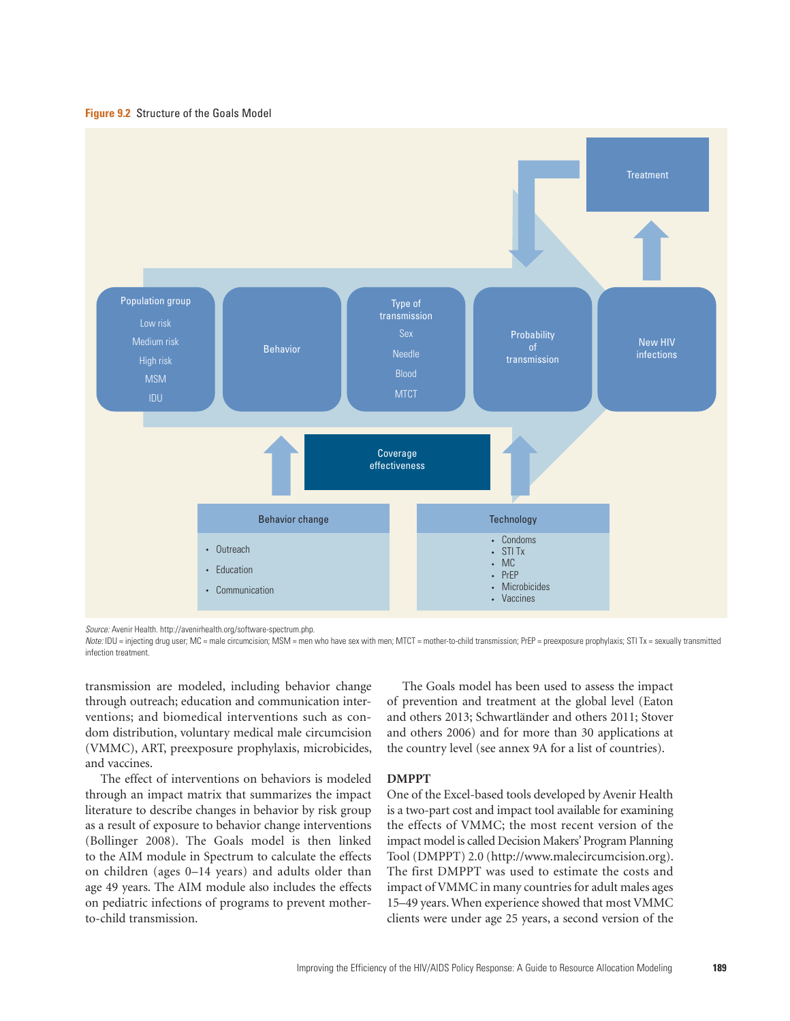



Source: Avenir Health. [http://avenirhealth.org/software-spectrum.php.](http://avenirhealth.org/software-spectrum.php) 

Note: IDU = injecting drug user; MC = male circumcision; MSM = men who have sex with men; MTCT = mother-to-child transmission; PrEP = preexposure prophylaxis; STI Tx = sexually transmitted infection treatment.

transmission are modeled, including behavior change through outreach; education and communication interventions; and biomedical interventions such as condom distribution, voluntary medical male circumcision (VMMC), ART, preexposure prophylaxis, microbicides, and vaccines.

The effect of interventions on behaviors is modeled through an impact matrix that summarizes the impact literature to describe changes in behavior by risk group as a result of exposure to behavior change interventions (Bollinger 2008). The Goals model is then linked to the AIM module in Spectrum to calculate the effects on children (ages 0–14 years) and adults older than age 49 years. The AIM module also includes the effects on pediatric infections of programs to prevent motherto-child transmission.

The Goals model has been used to assess the impact of prevention and treatment at the global level (Eaton and others 2013; Schwartländer and others 2011; Stover and others 2006) and for more than 30 applications at the country level (see annex 9A for a list of countries).

#### **DMPPT**

One of the Excel-based tools developed by Avenir Health is a two-part cost and impact tool available for examining the effects of VMMC; the most recent version of the impact model is called Decision Makers' Program Planning Tool (DMPPT) 2.0 [\(http://www.malecircumcision.org\)](http://www.malecircumcision.org). The first DMPPT was used to estimate the costs and impact of VMMC in many countries for adult males ages 15–49 years. When experience showed that most VMMC clients were under age 25 years, a second version of the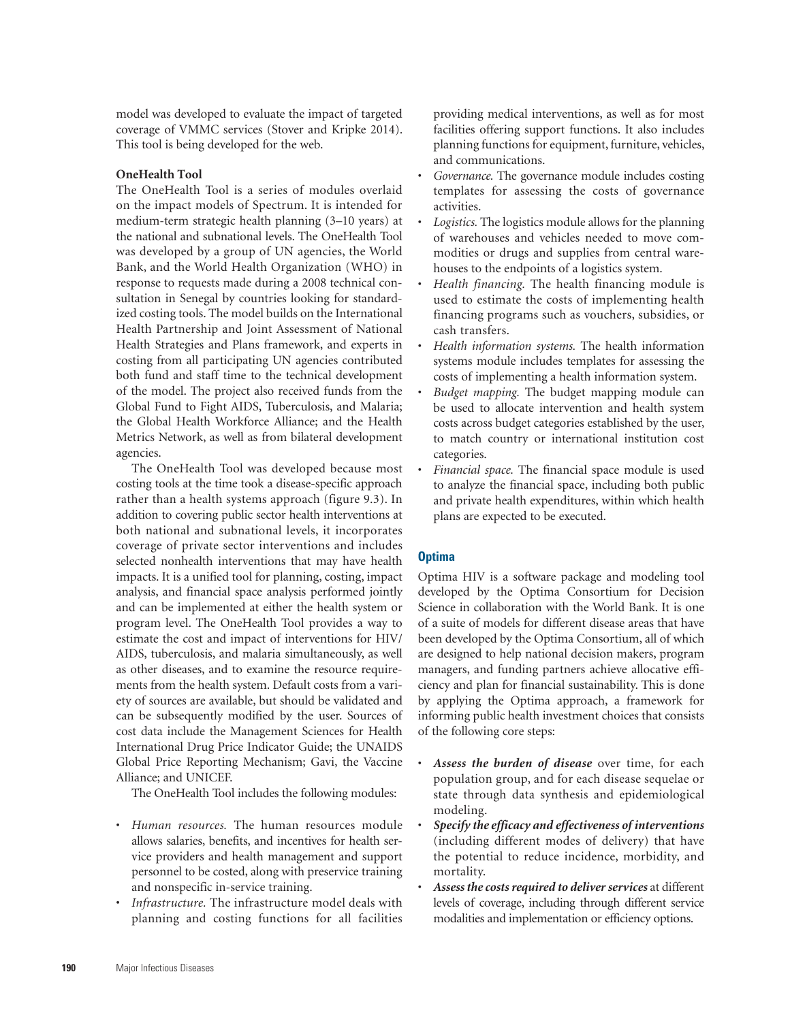model was developed to evaluate the impact of targeted coverage of VMMC services (Stover and Kripke 2014). This tool is being developed for the web.

#### **OneHealth Tool**

The OneHealth Tool is a series of modules overlaid on the impact models of Spectrum. It is intended for medium-term strategic health planning (3–10 years) at the national and subnational levels. The OneHealth Tool was developed by a group of UN agencies, the World Bank, and the World Health Organization (WHO) in response to requests made during a 2008 technical consultation in Senegal by countries looking for standardized costing tools. The model builds on the International Health Partnership and Joint Assessment of National Health Strategies and Plans framework, and experts in costing from all participating UN agencies contributed both fund and staff time to the technical development of the model. The project also received funds from the Global Fund to Fight AIDS, Tuberculosis, and Malaria; the Global Health Workforce Alliance; and the Health Metrics Network, as well as from bilateral development agencies.

The OneHealth Tool was developed because most costing tools at the time took a disease-specific approach rather than a health systems approach (figure 9.3). In addition to covering public sector health interventions at both national and subnational levels, it incorporates coverage of private sector interventions and includes selected nonhealth interventions that may have health impacts. It is a unified tool for planning, costing, impact analysis, and financial space analysis performed jointly and can be implemented at either the health system or program level. The OneHealth Tool provides a way to estimate the cost and impact of interventions for HIV/ AIDS, tuberculosis, and malaria simultaneously, as well as other diseases, and to examine the resource requirements from the health system. Default costs from a variety of sources are available, but should be validated and can be subsequently modified by the user. Sources of cost data include the Management Sciences for Health International Drug Price Indicator Guide; the UNAIDS Global Price Reporting Mechanism; Gavi, the Vaccine Alliance; and UNICEF.

The OneHealth Tool includes the following modules:

- *Human resources.* The human resources module allows salaries, benefits, and incentives for health service providers and health management and support personnel to be costed, along with preservice training and nonspecific in-service training.
- *Infrastructure.* The infrastructure model deals with planning and costing functions for all facilities

providing medical interventions, as well as for most facilities offering support functions. It also includes planning functions for equipment, furniture, vehicles, and communications.

- Governance. The governance module includes costing templates for assessing the costs of governance activities.
- *Logistics.* The logistics module allows for the planning of warehouses and vehicles needed to move commodities or drugs and supplies from central warehouses to the endpoints of a logistics system.
- *Health financing.* The health financing module is used to estimate the costs of implementing health financing programs such as vouchers, subsidies, or cash transfers.
- *Health information systems.* The health information systems module includes templates for assessing the costs of implementing a health information system.
- *Budget mapping.* The budget mapping module can be used to allocate intervention and health system costs across budget categories established by the user, to match country or international institution cost categories.
- *Financial space.* The financial space module is used to analyze the financial space, including both public and private health expenditures, within which health plans are expected to be executed.

#### **Optima**

Optima HIV is a software package and modeling tool developed by the Optima Consortium for Decision Science in collaboration with the World Bank. It is one of a suite of models for different disease areas that have been developed by the Optima Consortium, all of which are designed to help national decision makers, program managers, and funding partners achieve allocative efficiency and plan for financial sustainability. This is done by applying the Optima approach, a framework for informing public health investment choices that consists of the following core steps:

- *Assess the burden of disease* over time, for each population group, and for each disease sequelae or state through data synthesis and epidemiological modeling.
- *Specify the efficacy and effectiveness of interventions* (including different modes of delivery) that have the potential to reduce incidence, morbidity, and mortality.
- *Assess the costs required to deliver services* at different levels of coverage, including through different service modalities and implementation or efficiency options.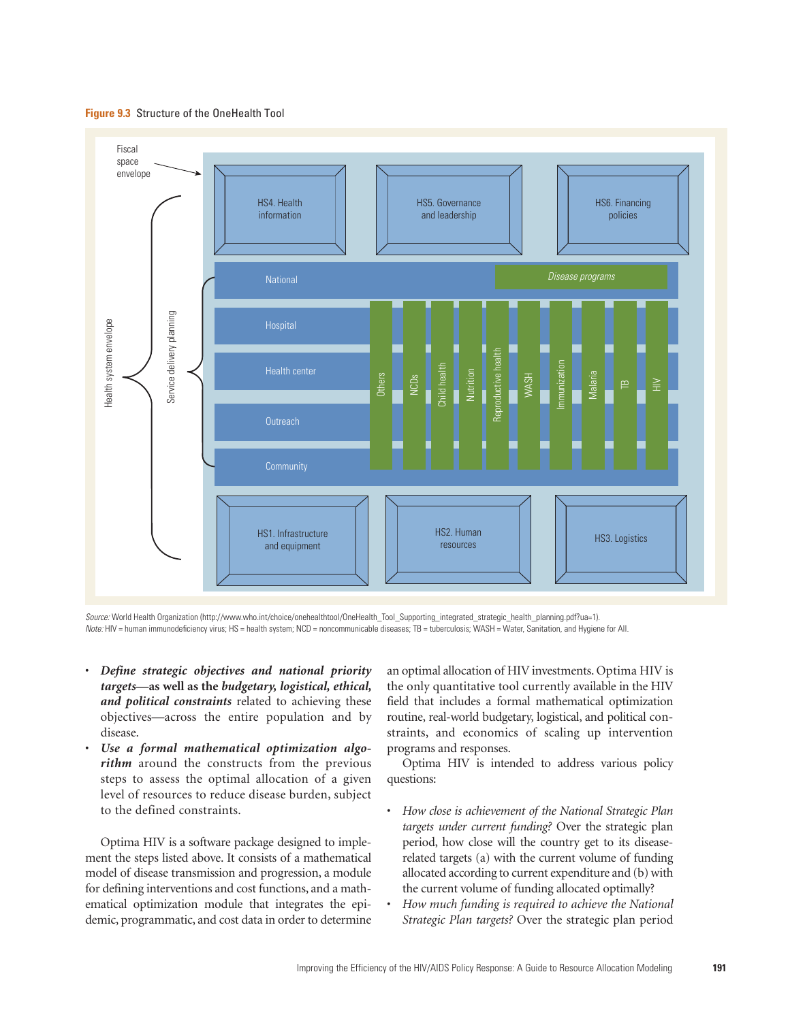



Source: World Health Organization [\(http://www.who.int/choice/onehealthtool/OneHealth\\_Tool\\_Supporting\\_integrated\\_strategic\\_health\\_planning.pdf?ua=1\)](http://www.who.int/choice/onehealthtool/OneHealth_Tool_Supporting_integrated_strategic_health_planning.pdf?ua=1). Note: HIV = human immunodeficiency virus; HS = health system; NCD = noncommunicable diseases; TB = tuberculosis; WASH = Water, Sanitation, and Hygiene for All.

- *Define strategic objectives and national priority targets***—as well as the** *budgetary, logistical, ethical, and political constraints* related to achieving these objectives—across the entire population and by disease.
- *Use a formal mathematical optimization algorithm* around the constructs from the previous steps to assess the optimal allocation of a given level of resources to reduce disease burden, subject to the defined constraints.

Optima HIV is a software package designed to implement the steps listed above. It consists of a mathematical model of disease transmission and progression, a module for defining interventions and cost functions, and a mathematical optimization module that integrates the epidemic, programmatic, and cost data in order to determine

an optimal allocation of HIV investments. Optima HIV is the only quantitative tool currently available in the HIV field that includes a formal mathematical optimization routine, real-world budgetary, logistical, and political constraints, and economics of scaling up intervention programs and responses.

Optima HIV is intended to address various policy questions:

- *How close is achievement of the National Strategic Plan targets under current funding?* Over the strategic plan period, how close will the country get to its diseaserelated targets (a) with the current volume of funding allocated according to current expenditure and (b) with the current volume of funding allocated optimally?
- *How much funding is required to achieve the National Strategic Plan targets?* Over the strategic plan period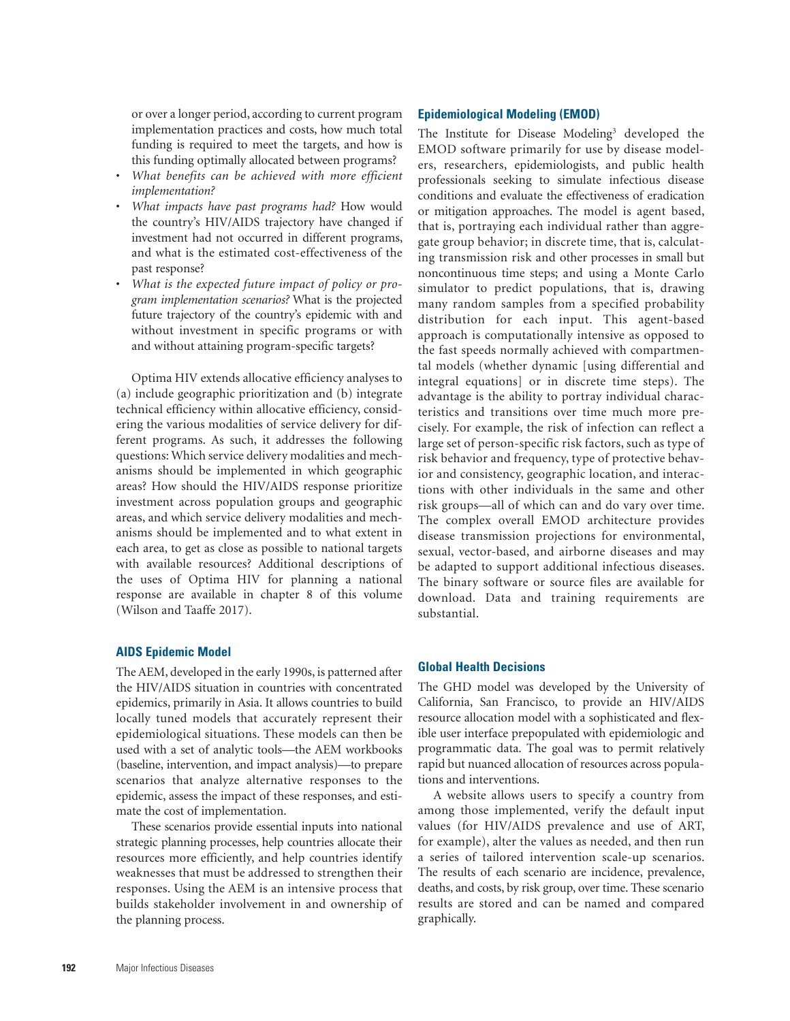or over a longer period, according to current program implementation practices and costs, how much total funding is required to meet the targets, and how is this funding optimally allocated between programs?

- *What benefits can be achieved with more efficient implementation?*
- *What impacts have past programs had?* How would the country's HIV/AIDS trajectory have changed if investment had not occurred in different programs, and what is the estimated cost-effectiveness of the past response?
- *What is the expected future impact of policy or program implementation scenarios?* What is the projected future trajectory of the country's epidemic with and without investment in specific programs or with and without attaining program-specific targets?

Optima HIV extends allocative efficiency analyses to (a) include geographic prioritization and (b) integrate technical efficiency within allocative efficiency, considering the various modalities of service delivery for different programs. As such, it addresses the following questions: Which service delivery modalities and mechanisms should be implemented in which geographic areas? How should the HIV/AIDS response prioritize investment across population groups and geographic areas, and which service delivery modalities and mechanisms should be implemented and to what extent in each area, to get as close as possible to national targets with available resources? Additional descriptions of the uses of Optima HIV for planning a national response are available in chapter 8 of this volume (Wilson and Taaffe 2017).

#### **AIDS Epidemic Model**

The AEM, developed in the early 1990s, is patterned after the HIV/AIDS situation in countries with concentrated epidemics, primarily in Asia. It allows countries to build locally tuned models that accurately represent their epidemiological situations. These models can then be used with a set of analytic tools—the AEM workbooks (baseline, intervention, and impact analysis)—to prepare scenarios that analyze alternative responses to the epidemic, assess the impact of these responses, and estimate the cost of implementation.

These scenarios provide essential inputs into national strategic planning processes, help countries allocate their resources more efficiently, and help countries identify weaknesses that must be addressed to strengthen their responses. Using the AEM is an intensive process that builds stakeholder involvement in and ownership of the planning process.

#### **Epidemiological Modeling (EMOD)**

The Institute for Disease Modeling<sup>3</sup> developed the EMOD software primarily for use by disease modelers, researchers, epidemiologists, and public health professionals seeking to simulate infectious disease conditions and evaluate the effectiveness of eradication or mitigation approaches. The model is agent based, that is, portraying each individual rather than aggregate group behavior; in discrete time, that is, calculating transmission risk and other processes in small but noncontinuous time steps; and using a Monte Carlo simulator to predict populations, that is, drawing many random samples from a specified probability distribution for each input. This agent-based approach is computationally intensive as opposed to the fast speeds normally achieved with compartmental models (whether dynamic [using differential and integral equations] or in discrete time steps). The advantage is the ability to portray individual characteristics and transitions over time much more precisely. For example, the risk of infection can reflect a large set of person- specific risk factors, such as type of risk behavior and frequency, type of protective behavior and consistency, geographic location, and interactions with other individuals in the same and other risk groups—all of which can and do vary over time. The complex overall EMOD architecture provides disease transmission projections for environmental, sexual, vector-based, and airborne diseases and may be adapted to support additional infectious diseases. The binary software or source files are available for download. Data and training requirements are substantial.

#### **Global Health Decisions**

The GHD model was developed by the University of California, San Francisco, to provide an HIV/AIDS resource allocation model with a sophisticated and flexible user interface prepopulated with epidemiologic and programmatic data. The goal was to permit relatively rapid but nuanced allocation of resources across populations and interventions.

A website allows users to specify a country from among those implemented, verify the default input values (for HIV/AIDS prevalence and use of ART, for example), alter the values as needed, and then run a series of tailored intervention scale-up scenarios. The results of each scenario are incidence, prevalence, deaths, and costs, by risk group, over time. These scenario results are stored and can be named and compared graphically.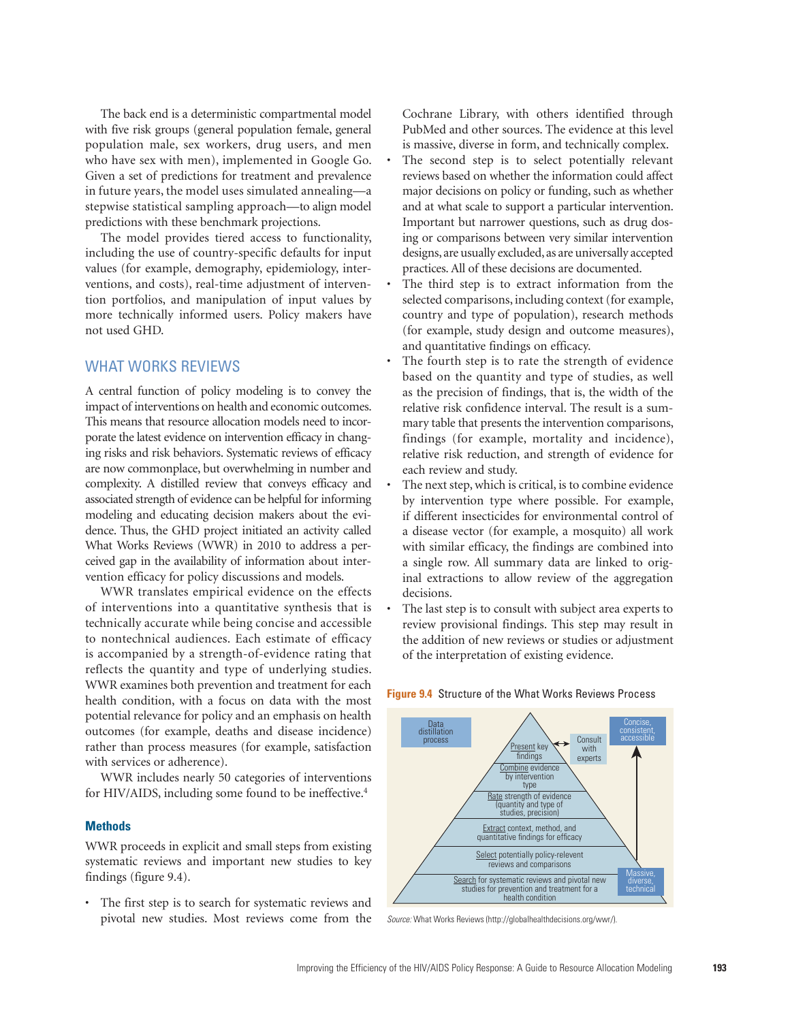The back end is a deterministic compartmental model with five risk groups (general population female, general population male, sex workers, drug users, and men who have sex with men), implemented in Google Go. Given a set of predictions for treatment and prevalence in future years, the model uses simulated annealing—a stepwise statistical sampling approach—to align model predictions with these benchmark projections.

The model provides tiered access to functionality, including the use of country-specific defaults for input values (for example, demography, epidemiology, interventions, and costs), real-time adjustment of intervention portfolios, and manipulation of input values by more technically informed users. Policy makers have not used GHD.

## WHAT WORKS REVIEWS

A central function of policy modeling is to convey the impact of interventions on health and economic outcomes. This means that resource allocation models need to incorporate the latest evidence on intervention efficacy in changing risks and risk behaviors. Systematic reviews of efficacy are now commonplace, but overwhelming in number and complexity. A distilled review that conveys efficacy and associated strength of evidence can be helpful for informing modeling and educating decision makers about the evidence. Thus, the GHD project initiated an activity called What Works Reviews (WWR) in 2010 to address a perceived gap in the availability of information about intervention efficacy for policy discussions and models.

WWR translates empirical evidence on the effects of interventions into a quantitative synthesis that is technically accurate while being concise and accessible to nontechnical audiences. Each estimate of efficacy is accompanied by a strength-of-evidence rating that reflects the quantity and type of underlying studies. WWR examines both prevention and treatment for each health condition, with a focus on data with the most potential relevance for policy and an emphasis on health outcomes (for example, deaths and disease incidence) rather than process measures (for example, satisfaction with services or adherence).

WWR includes nearly 50 categories of interventions for HIV/AIDS, including some found to be ineffective.<sup>4</sup>

#### **Methods**

WWR proceeds in explicit and small steps from existing systematic reviews and important new studies to key findings (figure 9.4).

• The first step is to search for systematic reviews and pivotal new studies. Most reviews come from the Cochrane Library, with others identified through PubMed and other sources. The evidence at this level is massive, diverse in form, and technically complex.

- The second step is to select potentially relevant reviews based on whether the information could affect major decisions on policy or funding, such as whether and at what scale to support a particular intervention. Important but narrower questions, such as drug dosing or comparisons between very similar intervention designs, are usually excluded, as are universally accepted practices. All of these decisions are documented.
- The third step is to extract information from the selected comparisons, including context (for example, country and type of population), research methods (for example, study design and outcome measures), and quantitative findings on efficacy.
- The fourth step is to rate the strength of evidence based on the quantity and type of studies, as well as the precision of findings, that is, the width of the relative risk confidence interval. The result is a summary table that presents the intervention comparisons, findings (for example, mortality and incidence), relative risk reduction, and strength of evidence for each review and study.
- The next step, which is critical, is to combine evidence by intervention type where possible. For example, if different insecticides for environmental control of a disease vector (for example, a mosquito) all work with similar efficacy, the findings are combined into a single row. All summary data are linked to original extractions to allow review of the aggregation decisions.
- The last step is to consult with subject area experts to review provisional findings. This step may result in the addition of new reviews or studies or adjustment of the interpretation of existing evidence.

#### **Figure 9.4** Structure of the What Works Reviews Process



Source: What Works Reviews [\(http://globalhealthdecisions.org/wwr/\)](http://globalhealthdecisions.org/wwr/).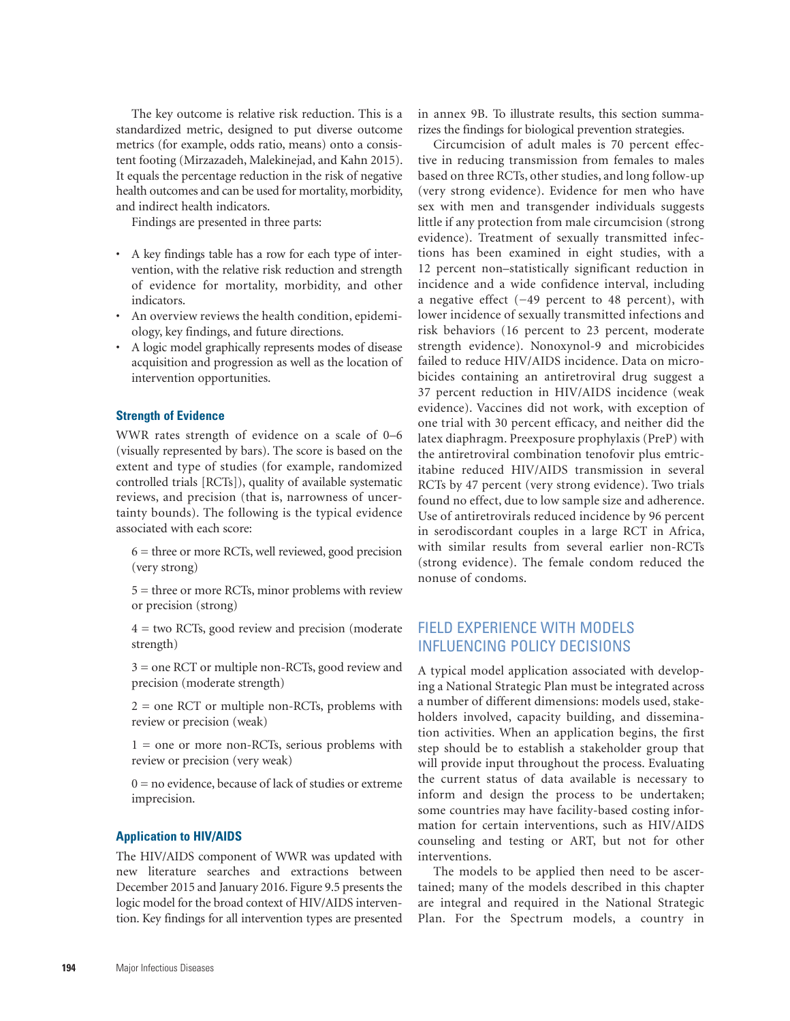The key outcome is relative risk reduction. This is a standardized metric, designed to put diverse outcome metrics (for example, odds ratio, means) onto a consistent footing (Mirzazadeh, Malekinejad, and Kahn 2015). It equals the percentage reduction in the risk of negative health outcomes and can be used for mortality, morbidity, and indirect health indicators.

Findings are presented in three parts:

- A key findings table has a row for each type of intervention, with the relative risk reduction and strength of evidence for mortality, morbidity, and other indicators.
- An overview reviews the health condition, epidemiology, key findings, and future directions.
- A logic model graphically represents modes of disease acquisition and progression as well as the location of intervention opportunities.

#### **Strength of Evidence**

WWR rates strength of evidence on a scale of 0–6 (visually represented by bars). The score is based on the extent and type of studies (for example, randomized controlled trials [RCTs]), quality of available systematic reviews, and precision (that is, narrowness of uncertainty bounds). The following is the typical evidence associated with each score:

6 = three or more RCTs, well reviewed, good precision (very strong)

5 = three or more RCTs, minor problems with review or precision (strong)

4 = two RCTs, good review and precision (moderate strength)

3 = one RCT or multiple non-RCTs, good review and precision (moderate strength)

2 = one RCT or multiple non-RCTs, problems with review or precision (weak)

1 = one or more non-RCTs, serious problems with review or precision (very weak)

 $0 =$  no evidence, because of lack of studies or extreme imprecision.

#### **Application to HIV/AIDS**

The HIV/AIDS component of WWR was updated with new literature searches and extractions between December 2015 and January 2016. Figure 9.5 presents the logic model for the broad context of HIV/AIDS intervention. Key findings for all intervention types are presented

in annex 9B. To illustrate results, this section summarizes the findings for biological prevention strategies.

Circumcision of adult males is 70 percent effective in reducing transmission from females to males based on three RCTs, other studies, and long follow-up (very strong evidence). Evidence for men who have sex with men and transgender individuals suggests little if any protection from male circumcision (strong evidence). Treatment of sexually transmitted infections has been examined in eight studies, with a 12 percent non–statistically significant reduction in incidence and a wide confidence interval, including a negative effect (−49 percent to 48 percent), with lower incidence of sexually transmitted infections and risk behaviors (16 percent to 23 percent, moderate strength evidence). Nonoxynol-9 and microbicides failed to reduce HIV/AIDS incidence. Data on microbicides containing an antiretroviral drug suggest a 37 percent reduction in HIV/AIDS incidence (weak evidence). Vaccines did not work, with exception of one trial with 30 percent efficacy, and neither did the latex diaphragm. Preexposure prophylaxis (PreP) with the antiretroviral combination tenofovir plus emtricitabine reduced HIV/AIDS transmission in several RCTs by 47 percent (very strong evidence). Two trials found no effect, due to low sample size and adherence. Use of antiretrovirals reduced incidence by 96 percent in serodiscordant couples in a large RCT in Africa, with similar results from several earlier non-RCTs (strong evidence). The female condom reduced the nonuse of condoms.

## FIELD EXPERIENCE WITH MODELS INFLUENCING POLICY DECISIONS

A typical model application associated with developing a National Strategic Plan must be integrated across a number of different dimensions: models used, stakeholders involved, capacity building, and dissemination activities. When an application begins, the first step should be to establish a stakeholder group that will provide input throughout the process. Evaluating the current status of data available is necessary to inform and design the process to be undertaken; some countries may have facility-based costing information for certain interventions, such as HIV/AIDS counseling and testing or ART, but not for other interventions.

The models to be applied then need to be ascertained; many of the models described in this chapter are integral and required in the National Strategic Plan. For the Spectrum models, a country in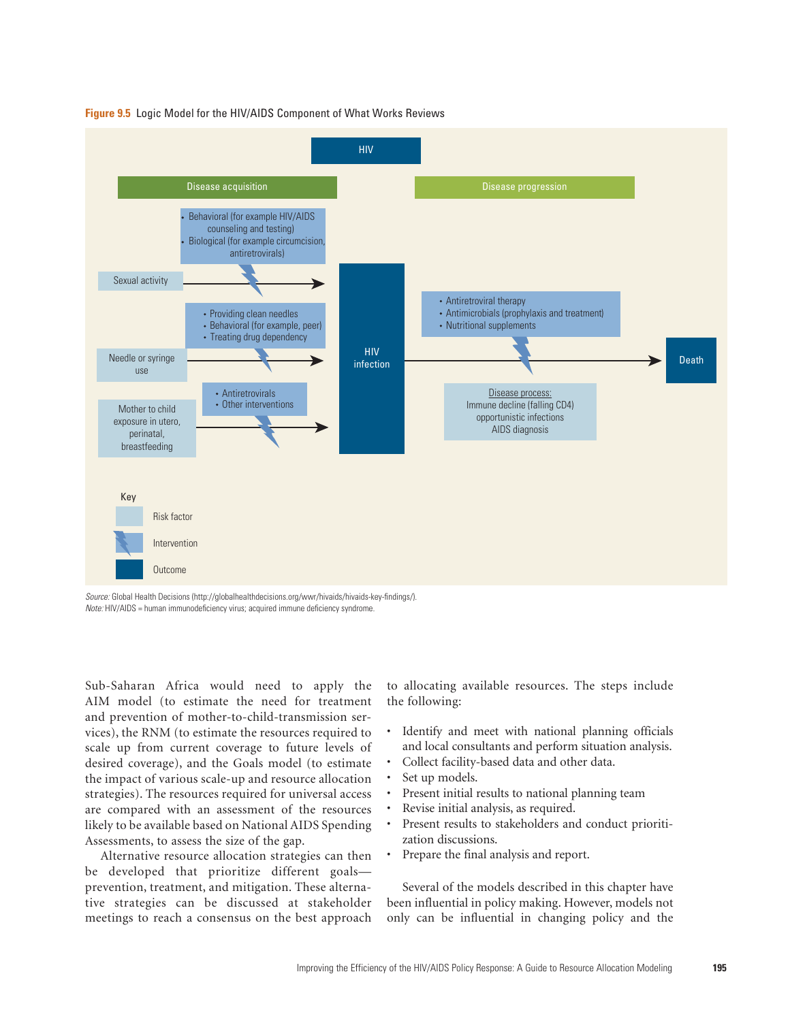



Source: Global Health Decisions [\(http://globalhealthdecisions.org/wwr/hivaids/hivaids-key-findings/\)](http://globalhealthdecisions.org/wwr/hivaids/hivaids-key-�ndings/). Note: HIV/AIDS = human immunodeficiency virus; acquired immune deficiency syndrome.

Sub-Saharan Africa would need to apply the AIM model (to estimate the need for treatment and prevention of mother-to- child-transmission services), the RNM (to estimate the resources required to scale up from current coverage to future levels of desired coverage), and the Goals model (to estimate the impact of various scale-up and resource allocation strategies). The resources required for universal access are compared with an assessment of the resources likely to be available based on National AIDS Spending Assessments, to assess the size of the gap.

Alternative resource allocation strategies can then be developed that prioritize different goals prevention, treatment, and mitigation. These alternative strategies can be discussed at stakeholder meetings to reach a consensus on the best approach

to allocating available resources. The steps include the following:

- Identify and meet with national planning officials and local consultants and perform situation analysis.
- Collect facility-based data and other data.
- Set up models.
- Present initial results to national planning team
- Revise initial analysis, as required.
- Present results to stakeholders and conduct prioritization discussions.
- Prepare the final analysis and report.

Several of the models described in this chapter have been influential in policy making. However, models not only can be influential in changing policy and the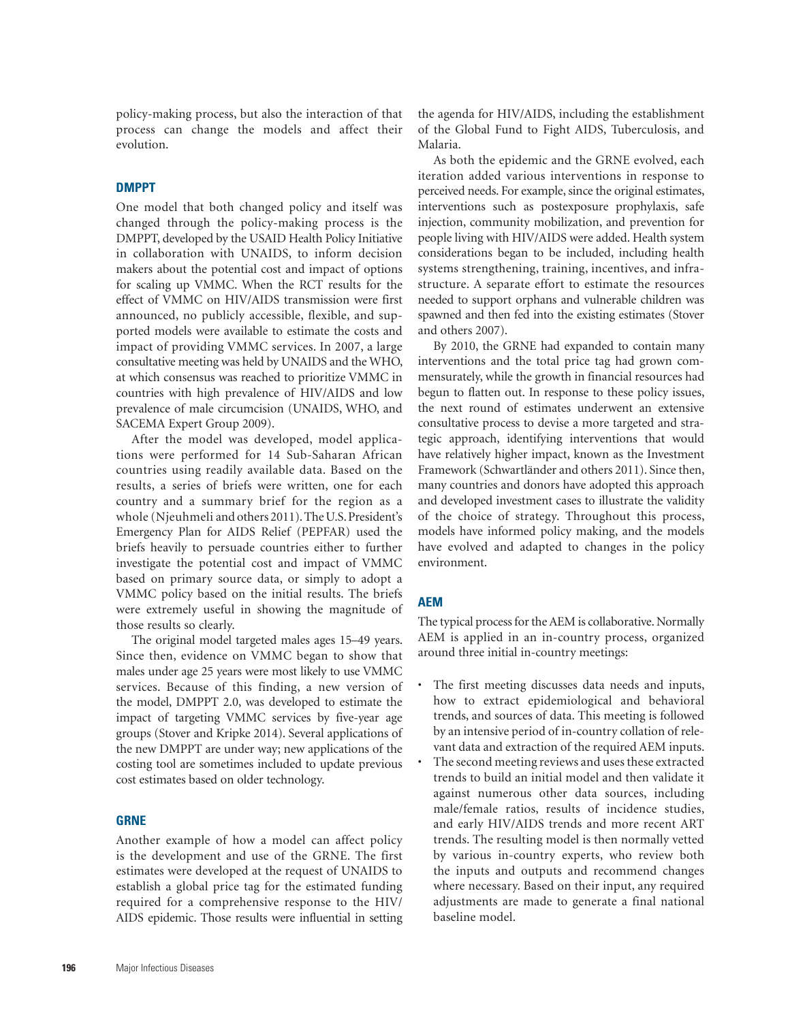policy-making process, but also the interaction of that process can change the models and affect their evolution.

#### **DMPPT**

One model that both changed policy and itself was changed through the policy-making process is the DMPPT, developed by the USAID Health Policy Initiative in collaboration with UNAIDS, to inform decision makers about the potential cost and impact of options for scaling up VMMC. When the RCT results for the effect of VMMC on HIV/AIDS transmission were first announced, no publicly accessible, flexible, and supported models were available to estimate the costs and impact of providing VMMC services. In 2007, a large consultative meeting was held by UNAIDS and the WHO, at which consensus was reached to prioritize VMMC in countries with high prevalence of HIV/AIDS and low prevalence of male circumcision (UNAIDS, WHO, and SACEMA Expert Group 2009).

After the model was developed, model applications were performed for 14 Sub-Saharan African countries using readily available data. Based on the results, a series of briefs were written, one for each country and a summary brief for the region as a whole (Njeuhmeli and others 2011). The U.S. President's Emergency Plan for AIDS Relief (PEPFAR) used the briefs heavily to persuade countries either to further investigate the potential cost and impact of VMMC based on primary source data, or simply to adopt a VMMC policy based on the initial results. The briefs were extremely useful in showing the magnitude of those results so clearly.

The original model targeted males ages 15–49 years. Since then, evidence on VMMC began to show that males under age 25 years were most likely to use VMMC services. Because of this finding, a new version of the model, DMPPT 2.0, was developed to estimate the impact of targeting VMMC services by five-year age groups (Stover and Kripke 2014). Several applications of the new DMPPT are under way; new applications of the costing tool are sometimes included to update previous cost estimates based on older technology.

#### **GRNE**

Another example of how a model can affect policy is the development and use of the GRNE. The first estimates were developed at the request of UNAIDS to establish a global price tag for the estimated funding required for a comprehensive response to the HIV/ AIDS epidemic. Those results were influential in setting the agenda for HIV/AIDS, including the establishment of the Global Fund to Fight AIDS, Tuberculosis, and Malaria.

As both the epidemic and the GRNE evolved, each iteration added various interventions in response to perceived needs. For example, since the original estimates, interventions such as postexposure prophylaxis, safe injection, community mobilization, and prevention for people living with HIV/AIDS were added. Health system considerations began to be included, including health systems strengthening, training, incentives, and infrastructure. A separate effort to estimate the resources needed to support orphans and vulnerable children was spawned and then fed into the existing estimates (Stover and others 2007).

By 2010, the GRNE had expanded to contain many interventions and the total price tag had grown commensurately, while the growth in financial resources had begun to flatten out. In response to these policy issues, the next round of estimates underwent an extensive consultative process to devise a more targeted and strategic approach, identifying interventions that would have relatively higher impact, known as the Investment Framework (Schwartländer and others 2011). Since then, many countries and donors have adopted this approach and developed investment cases to illustrate the validity of the choice of strategy. Throughout this process, models have informed policy making, and the models have evolved and adapted to changes in the policy environment.

#### **AEM**

The typical process for the AEM is collaborative. Normally AEM is applied in an in-country process, organized around three initial in-country meetings:

- The first meeting discusses data needs and inputs, how to extract epidemiological and behavioral trends, and sources of data. This meeting is followed by an intensive period of in-country collation of relevant data and extraction of the required AEM inputs.
- The second meeting reviews and uses these extracted trends to build an initial model and then validate it against numerous other data sources, including male/female ratios, results of incidence studies, and early HIV/AIDS trends and more recent ART trends. The resulting model is then normally vetted by various in-country experts, who review both the inputs and outputs and recommend changes where necessary. Based on their input, any required adjustments are made to generate a final national baseline model.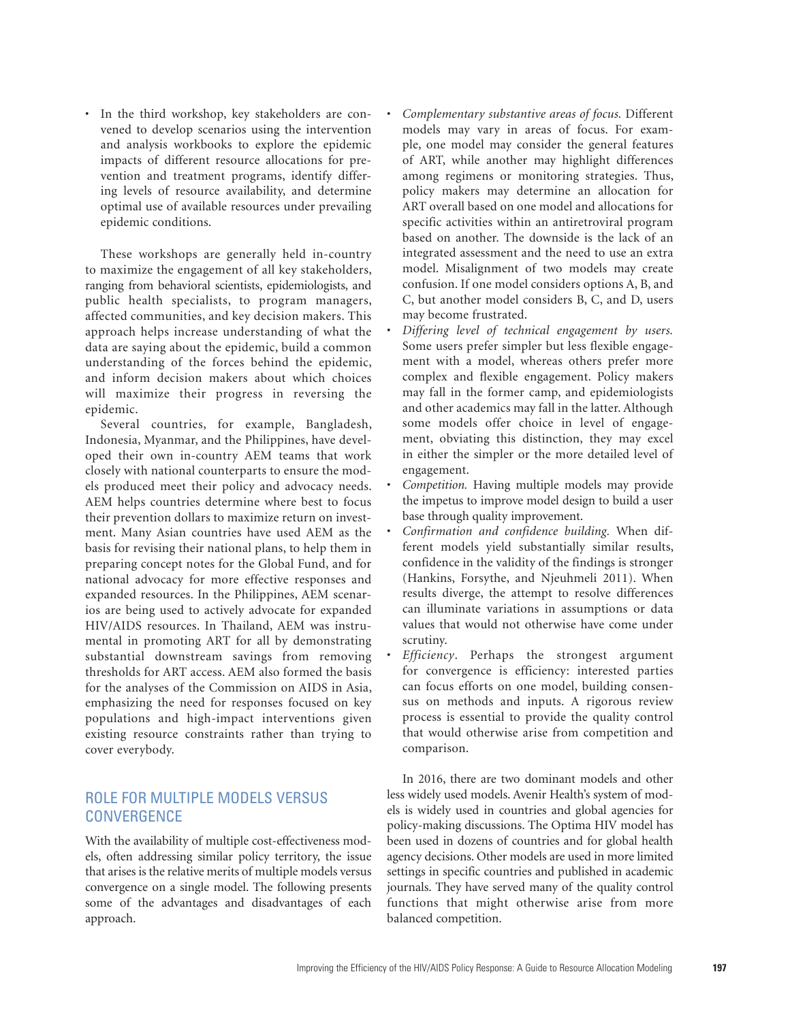• In the third workshop, key stakeholders are convened to develop scenarios using the intervention and analysis workbooks to explore the epidemic impacts of different resource allocations for prevention and treatment programs, identify differing levels of resource availability, and determine optimal use of available resources under prevailing epidemic conditions.

These workshops are generally held in-country to maximize the engagement of all key stakeholders, ranging from behavioral scientists, epidemiologists, and public health specialists, to program managers, affected communities, and key decision makers. This approach helps increase understanding of what the data are saying about the epidemic, build a common understanding of the forces behind the epidemic, and inform decision makers about which choices will maximize their progress in reversing the epidemic.

Several countries, for example, Bangladesh, Indonesia, Myanmar, and the Philippines, have developed their own in-country AEM teams that work closely with national counterparts to ensure the models produced meet their policy and advocacy needs. AEM helps countries determine where best to focus their prevention dollars to maximize return on investment. Many Asian countries have used AEM as the basis for revising their national plans, to help them in preparing concept notes for the Global Fund, and for national advocacy for more effective responses and expanded resources. In the Philippines, AEM scenarios are being used to actively advocate for expanded HIV/AIDS resources. In Thailand, AEM was instrumental in promoting ART for all by demonstrating substantial downstream savings from removing thresholds for ART access. AEM also formed the basis for the analyses of the Commission on AIDS in Asia, emphasizing the need for responses focused on key populations and high-impact interventions given existing resource constraints rather than trying to cover everybody.

## ROLE FOR MULTIPLE MODELS VERSUS **CONVERGENCE**

With the availability of multiple cost-effectiveness models, often addressing similar policy territory, the issue that arises is the relative merits of multiple models versus convergence on a single model. The following presents some of the advantages and disadvantages of each approach.

- *Complementary substantive areas of focus.* Different models may vary in areas of focus. For example, one model may consider the general features of ART, while another may highlight differences among regimens or monitoring strategies. Thus, policy makers may determine an allocation for ART overall based on one model and allocations for specific activities within an antiretroviral program based on another. The downside is the lack of an integrated assessment and the need to use an extra model. Misalignment of two models may create confusion. If one model considers options A, B, and C, but another model considers B, C, and D, users may become frustrated.
- *Differing level of technical engagement by users.* Some users prefer simpler but less flexible engagement with a model, whereas others prefer more complex and flexible engagement. Policy makers may fall in the former camp, and epidemiologists and other academics may fall in the latter. Although some models offer choice in level of engagement, obviating this distinction, they may excel in either the simpler or the more detailed level of engagement.
- *Competition.* Having multiple models may provide the impetus to improve model design to build a user base through quality improvement.
- *Confirmation and confidence building.* When different models yield substantially similar results, confidence in the validity of the findings is stronger (Hankins, Forsythe, and Njeuhmeli 2011). When results diverge, the attempt to resolve differences can illuminate variations in assumptions or data values that would not otherwise have come under scrutiny.
- *Efficiency*. Perhaps the strongest argument for convergence is efficiency: interested parties can focus efforts on one model, building consensus on methods and inputs. A rigorous review process is essential to provide the quality control that would otherwise arise from competition and comparison.

In 2016, there are two dominant models and other less widely used models. Avenir Health's system of models is widely used in countries and global agencies for policy-making discussions. The Optima HIV model has been used in dozens of countries and for global health agency decisions. Other models are used in more limited settings in specific countries and published in academic journals. They have served many of the quality control functions that might otherwise arise from more balanced competition.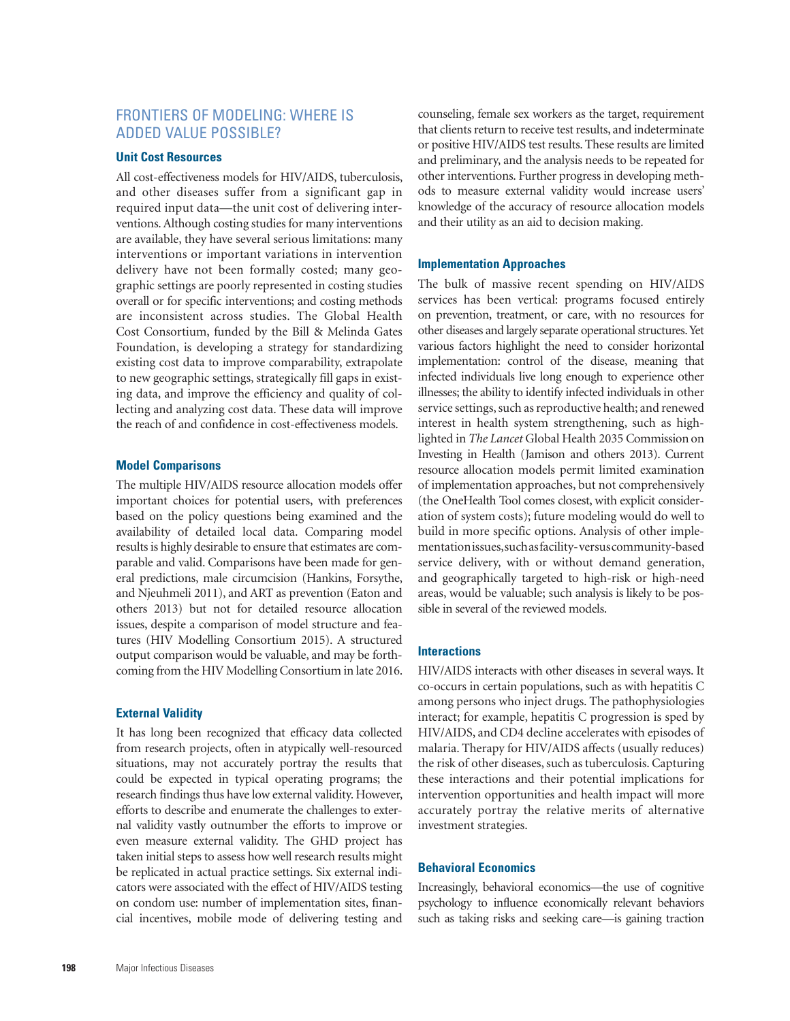## FRONTIERS OF MODELING: WHERE IS ADDED VALUE POSSIBLE?

#### **Unit Cost Resources**

All cost-effectiveness models for HIV/AIDS, tuberculosis, and other diseases suffer from a significant gap in required input data—the unit cost of delivering interventions. Although costing studies for many interventions are available, they have several serious limitations: many interventions or important variations in intervention delivery have not been formally costed; many geographic settings are poorly represented in costing studies overall or for specific interventions; and costing methods are inconsistent across studies. The Global Health Cost Consortium, funded by the Bill & Melinda Gates Foundation, is developing a strategy for standardizing existing cost data to improve comparability, extrapolate to new geographic settings, strategically fill gaps in existing data, and improve the efficiency and quality of collecting and analyzing cost data. These data will improve the reach of and confidence in cost-effectiveness models.

#### **Model Comparisons**

The multiple HIV/AIDS resource allocation models offer important choices for potential users, with preferences based on the policy questions being examined and the availability of detailed local data. Comparing model results is highly desirable to ensure that estimates are comparable and valid. Comparisons have been made for general predictions, male circumcision (Hankins, Forsythe, and Njeuhmeli 2011), and ART as prevention (Eaton and others 2013) but not for detailed resource allocation issues, despite a comparison of model structure and features (HIV Modelling Consortium 2015). A structured output comparison would be valuable, and may be forthcoming from the HIV Modelling Consortium in late 2016.

#### **External Validity**

It has long been recognized that efficacy data collected from research projects, often in atypically well-resourced situations, may not accurately portray the results that could be expected in typical operating programs; the research findings thus have low external validity. However, efforts to describe and enumerate the challenges to external validity vastly outnumber the efforts to improve or even measure external validity. The GHD project has taken initial steps to assess how well research results might be replicated in actual practice settings. Six external indicators were associated with the effect of HIV/AIDS testing on condom use: number of implementation sites, financial incentives, mobile mode of delivering testing and

counseling, female sex workers as the target, requirement that clients return to receive test results, and indeterminate or positive HIV/AIDS test results. These results are limited and preliminary, and the analysis needs to be repeated for other interventions. Further progress in developing methods to measure external validity would increase users' knowledge of the accuracy of resource allocation models and their utility as an aid to decision making.

#### **Implementation Approaches**

The bulk of massive recent spending on HIV/AIDS services has been vertical: programs focused entirely on prevention, treatment, or care, with no resources for other diseases and largely separate operational structures. Yet various factors highlight the need to consider horizontal implementation: control of the disease, meaning that infected individuals live long enough to experience other illnesses; the ability to identify infected individuals in other service settings, such as reproductive health; and renewed interest in health system strengthening, such as highlighted in *The Lancet* Global Health 2035 Commission on Investing in Health (Jamison and others 2013). Current resource allocation models permit limited examination of implementation approaches, but not comprehensively (the OneHealth Tool comes closest, with explicit consideration of system costs); future modeling would do well to build in more specific options. Analysis of other implementation issues, such as facility- versus community-based service delivery, with or without demand generation, and geographically targeted to high-risk or high-need areas, would be valuable; such analysis is likely to be possible in several of the reviewed models.

#### **Interactions**

HIV/AIDS interacts with other diseases in several ways. It co-occurs in certain populations, such as with hepatitis C among persons who inject drugs. The pathophysiologies interact; for example, hepatitis C progression is sped by HIV/AIDS, and CD4 decline accelerates with episodes of malaria. Therapy for HIV/AIDS affects (usually reduces) the risk of other diseases, such as tuberculosis. Capturing these interactions and their potential implications for intervention opportunities and health impact will more accurately portray the relative merits of alternative investment strategies.

#### **Behavioral Economics**

Increasingly, behavioral economics—the use of cognitive psychology to influence economically relevant behaviors such as taking risks and seeking care—is gaining traction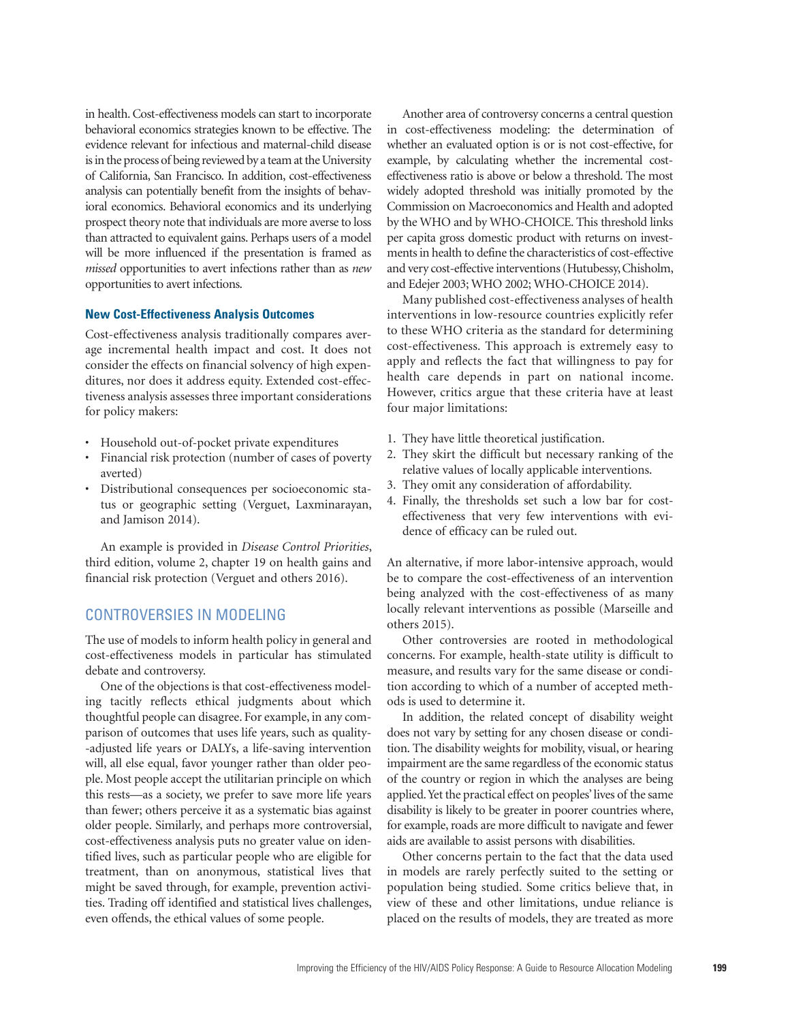in health. Cost-effectiveness models can start to incorporate behavioral economics strategies known to be effective. The evidence relevant for infectious and maternal-child disease is in the process of being reviewed by a team at the University of California, San Francisco. In addition, cost-effectiveness analysis can potentially benefit from the insights of behavioral economics. Behavioral economics and its underlying prospect theory note that individuals are more averse to loss than attracted to equivalent gains. Perhaps users of a model will be more influenced if the presentation is framed as *missed* opportunities to avert infections rather than as *new* opportunities to avert infections.

#### **New Cost-Effectiveness Analysis Outcomes**

Cost-effectiveness analysis traditionally compares average incremental health impact and cost. It does not consider the effects on financial solvency of high expenditures, nor does it address equity. Extended cost-effectiveness analysis assesses three important considerations for policy makers:

- Household out-of-pocket private expenditures
- Financial risk protection (number of cases of poverty averted)
- Distributional consequences per socioeconomic status or geographic setting (Verguet, Laxminarayan, and Jamison 2014).

An example is provided in *Disease Control Priorities*, third edition, volume 2, chapter 19 on health gains and financial risk protection (Verguet and others 2016).

## CONTROVERSIES IN MODELING

The use of models to inform health policy in general and cost-effectiveness models in particular has stimulated debate and controversy.

One of the objections is that cost-effectiveness modeling tacitly reflects ethical judgments about which thoughtful people can disagree. For example, in any comparison of outcomes that uses life years, such as quality- -adjusted life years or DALYs, a life-saving intervention will, all else equal, favor younger rather than older people. Most people accept the utilitarian principle on which this rests—as a society, we prefer to save more life years than fewer; others perceive it as a systematic bias against older people. Similarly, and perhaps more controversial, cost-effectiveness analysis puts no greater value on identified lives, such as particular people who are eligible for treatment, than on anonymous, statistical lives that might be saved through, for example, prevention activities. Trading off identified and statistical lives challenges, even offends, the ethical values of some people.

Another area of controversy concerns a central question in cost-effectiveness modeling: the determination of whether an evaluated option is or is not cost-effective, for example, by calculating whether the incremental costeffectiveness ratio is above or below a threshold. The most widely adopted threshold was initially promoted by the Commission on Macroeconomics and Health and adopted by the WHO and by WHO-CHOICE. This threshold links per capita gross domestic product with returns on investments in health to define the characteristics of cost-effective and very cost-effective interventions (Hutubessy, Chisholm, and Edejer 2003; WHO 2002; WHO-CHOICE 2014).

Many published cost-effectiveness analyses of health interventions in low-resource countries explicitly refer to these WHO criteria as the standard for determining cost-effectiveness. This approach is extremely easy to apply and reflects the fact that willingness to pay for health care depends in part on national income. However, critics argue that these criteria have at least four major limitations:

- 1. They have little theoretical justification.
- 2. They skirt the difficult but necessary ranking of the relative values of locally applicable interventions.
- 3. They omit any consideration of affordability.
- 4. Finally, the thresholds set such a low bar for costeffectiveness that very few interventions with evidence of efficacy can be ruled out.

An alternative, if more labor-intensive approach, would be to compare the cost-effectiveness of an intervention being analyzed with the cost-effectiveness of as many locally relevant interventions as possible (Marseille and others 2015).

Other controversies are rooted in methodological concerns. For example, health-state utility is difficult to measure, and results vary for the same disease or condition according to which of a number of accepted methods is used to determine it.

In addition, the related concept of disability weight does not vary by setting for any chosen disease or condition. The disability weights for mobility, visual, or hearing impairment are the same regardless of the economic status of the country or region in which the analyses are being applied. Yet the practical effect on peoples' lives of the same disability is likely to be greater in poorer countries where, for example, roads are more difficult to navigate and fewer aids are available to assist persons with disabilities.

Other concerns pertain to the fact that the data used in models are rarely perfectly suited to the setting or population being studied. Some critics believe that, in view of these and other limitations, undue reliance is placed on the results of models, they are treated as more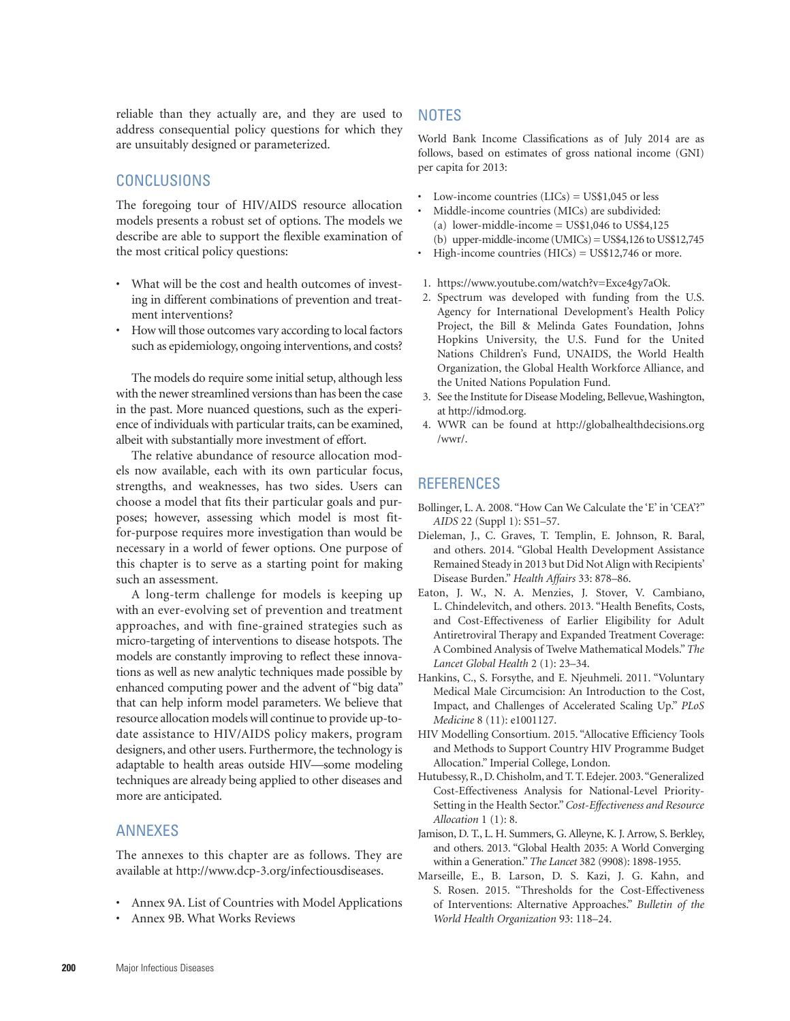reliable than they actually are, and they are used to address consequential policy questions for which they are unsuitably designed or parameterized.

## CONCLUSIONS

The foregoing tour of HIV/AIDS resource allocation models presents a robust set of options. The models we describe are able to support the flexible examination of the most critical policy questions:

- What will be the cost and health outcomes of investing in different combinations of prevention and treatment interventions?
- How will those outcomes vary according to local factors such as epidemiology, ongoing interventions, and costs?

The models do require some initial setup, although less with the newer streamlined versions than has been the case in the past. More nuanced questions, such as the experience of individuals with particular traits, can be examined, albeit with substantially more investment of effort.

The relative abundance of resource allocation models now available, each with its own particular focus, strengths, and weaknesses, has two sides. Users can choose a model that fits their particular goals and purposes; however, assessing which model is most fitfor-purpose requires more investigation than would be necessary in a world of fewer options. One purpose of this chapter is to serve as a starting point for making such an assessment.

A long-term challenge for models is keeping up with an ever-evolving set of prevention and treatment approaches, and with fine-grained strategies such as micro-targeting of interventions to disease hotspots. The models are constantly improving to reflect these innovations as well as new analytic techniques made possible by enhanced computing power and the advent of "big data" that can help inform model parameters. We believe that resource allocation models will continue to provide up-todate assistance to HIV/AIDS policy makers, program designers, and other users. Furthermore, the technology is adaptable to health areas outside HIV—some modeling techniques are already being applied to other diseases and more are anticipated.

### ANNEXES

The annexes to this chapter are as follows. They are available at [http://www.dcp-3.org/infectiousdiseases.](http://www.dcp-3.org/infectiousdiseases)

- Annex 9A. List of Countries with Model Applications
- Annex 9B. What Works Reviews

## **NOTES**

World Bank Income Classifications as of July 2014 are as follows, based on estimates of gross national income (GNI) per capita for 2013:

- Low-income countries  $(LICs) = US$1,045$  or less
- Middle-income countries (MICs) are subdivided: (a) lower-middle-income  $=$  US\$1,046 to US\$4,125 (b) upper-middle-income (UMICs) = US\$4,126 to US\$12,745
- High-income countries (HICs) = US\$12,746 or more.
- 1. [https://www.youtube.com/watch?v=Exce4gy7aOk.](https://www.youtube.com/watch?v=Exce4gy7aOk)
- 2. Spectrum was developed with funding from the U.S. Agency for International Development's Health Policy Project, the Bill & Melinda Gates Foundation, Johns Hopkins University, the U.S. Fund for the United Nations Children's Fund, UNAIDS, the World Health Organization, the Global Health Workforce Alliance, and the United Nations Population Fund.
- 3. See the Institute for Disease Modeling, Bellevue, Washington, at [http://idmod.org.](http://idmod.org)
- 4. WWR can be found at [http://globalhealthdecisions.org](http://globalhealthdecisions.org/wwr/)  [/ wwr/.](http://globalhealthdecisions.org/wwr/)

## **REFERENCES**

- Bollinger, L. A. 2008. "How Can We Calculate the 'E' in 'CEA'?" *AIDS* 22 (Suppl 1): S51–57.
- Dieleman, J., C. Graves, T. Templin, E. Johnson, R. Baral, and others. 2014. "Global Health Development Assistance Remained Steady in 2013 but Did Not Align with Recipients' Disease Burden." *Health Affairs* 33: 878–86.
- Eaton, J. W., N. A. Menzies, J. Stover, V. Cambiano, L. Chindelevitch, and others. 2013. "Health Benefits, Costs, and Cost-Effectiveness of Earlier Eligibility for Adult Antiretroviral Therapy and Expanded Treatment Coverage: A Combined Analysis of Twelve Mathematical Models." *The Lancet Global Health* 2 (1): 23–34.
- Hankins, C., S. Forsythe, and E. Njeuhmeli. 2011. "Voluntary Medical Male Circumcision: An Introduction to the Cost, Impact, and Challenges of Accelerated Scaling Up." *PLoS Medicine* 8 (11): e1001127.
- HIV Modelling Consortium. 2015. "Allocative Efficiency Tools and Methods to Support Country HIV Programme Budget Allocation." Imperial College, London.
- Hutubessy, R., D. Chisholm, and T. T. Edejer. 2003. "Generalized Cost-Effectiveness Analysis for National-Level Priority-Setting in the Health Sector." *Cost-Effectiveness and Resource Allocation* 1 (1): 8.
- Jamison, D. T., L. H. Summers, G. Alleyne, K. J. Arrow, S. Berkley, and others. 2013. "Global Health 2035: A World Converging within a Generation." *The Lancet* 382 (9908): 1898-1955.
- Marseille, E., B. Larson, D. S. Kazi, J. G. Kahn, and S. Rosen. 2015. "Thresholds for the Cost-Effectiveness of Interventions: Alternative Approaches." *Bulletin of the World Health Organization* 93: 118–24.